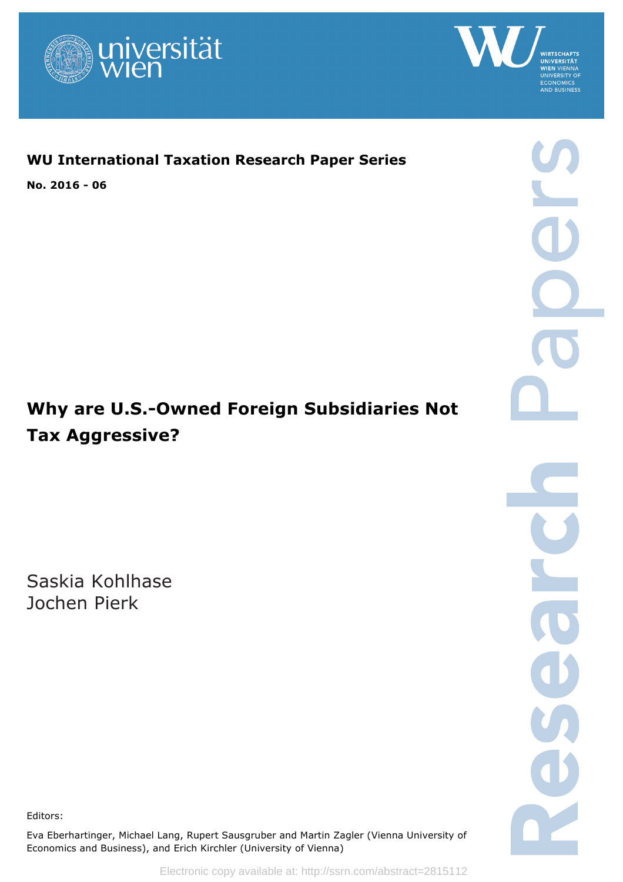



# **WU International Taxation Research Paper Series**

**No. 2016 - 06**

# **Why are U.S.-Owned Foreign Subsidiaries Not Tax Aggressive?**

Saskia Kohlhase Jochen Pierk

Editors:

Eva Eberhartinger, Michael Lang, Rupert Sausgruber and Martin Zagler (Vienna University of Economics and Business), and Erich Kirchler (University of Vienna)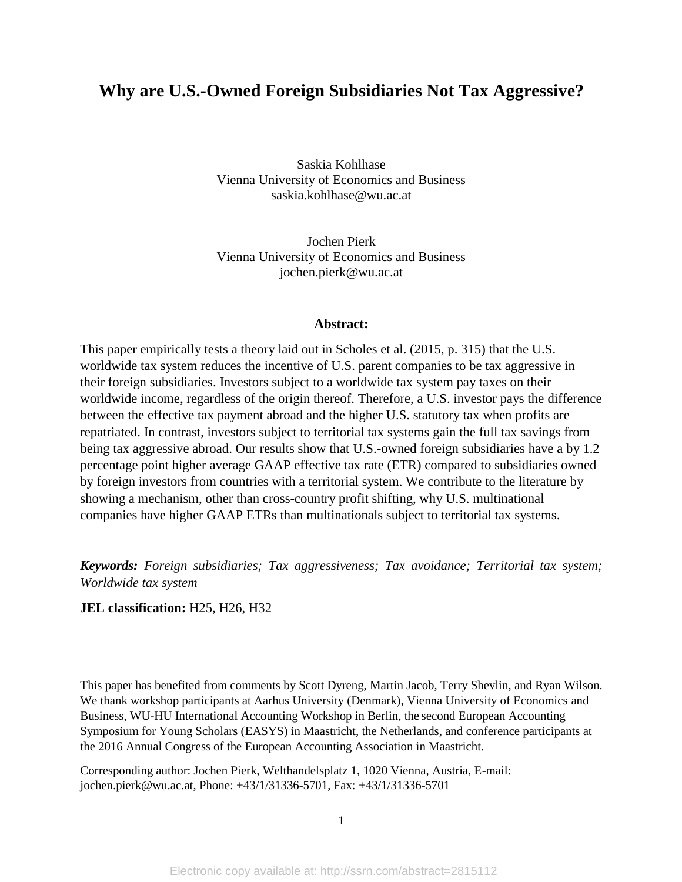# **Why are U.S.-Owned Foreign Subsidiaries Not Tax Aggressive?**

Saskia Kohlhase Vienna University of Economics and Business saskia.kohlhase@wu.ac.at

Jochen Pierk Vienna University of Economics and Business jochen.pierk@wu.ac.at

# **Abstract:**

This paper empirically tests a theory laid out in Scholes et al. (2015, p. 315) that the U.S. worldwide tax system reduces the incentive of U.S. parent companies to be tax aggressive in their foreign subsidiaries. Investors subject to a worldwide tax system pay taxes on their worldwide income, regardless of the origin thereof. Therefore, a U.S. investor pays the difference between the effective tax payment abroad and the higher U.S. statutory tax when profits are repatriated. In contrast, investors subject to territorial tax systems gain the full tax savings from being tax aggressive abroad. Our results show that U.S.-owned foreign subsidiaries have a by 1.2 percentage point higher average GAAP effective tax rate (ETR) compared to subsidiaries owned by foreign investors from countries with a territorial system. We contribute to the literature by showing a mechanism, other than cross-country profit shifting, why U.S. multinational companies have higher GAAP ETRs than multinationals subject to territorial tax systems.

*Keywords: Foreign subsidiaries; Tax aggressiveness; Tax avoidance; Territorial tax system; Worldwide tax system* 

**JEL classification:** H25, H26, H32

This paper has benefited from comments by Scott Dyreng, Martin Jacob, Terry Shevlin, and Ryan Wilson. We thank workshop participants at Aarhus University (Denmark), Vienna University of Economics and Business, WU-HU International Accounting Workshop in Berlin, the second European Accounting Symposium for Young Scholars (EASYS) in Maastricht, the Netherlands, and conference participants at the 2016 Annual Congress of the European Accounting Association in Maastricht.

Corresponding author: Jochen Pierk, Welthandelsplatz 1, 1020 Vienna, Austria, E-mail: jochen.pierk@wu.ac.at, Phone: +43/1/31336-5701, Fax: +43/1/31336-5701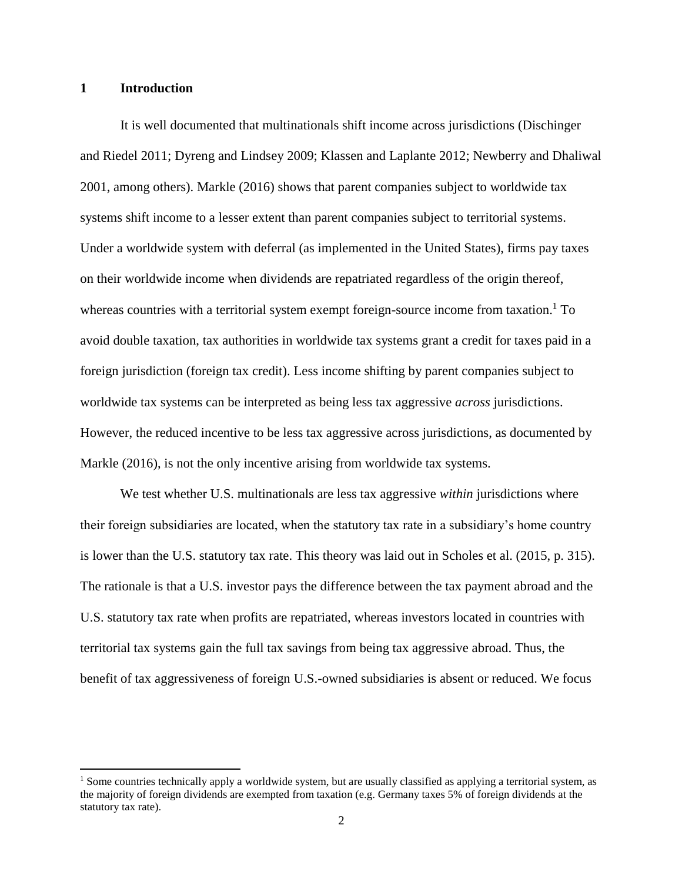# **1 Introduction**

l

It is well documented that multinationals shift income across jurisdictions (Dischinger and Riedel 2011; Dyreng and Lindsey 2009; Klassen and Laplante 2012; Newberry and Dhaliwal 2001, among others). Markle (2016) shows that parent companies subject to worldwide tax systems shift income to a lesser extent than parent companies subject to territorial systems. Under a worldwide system with deferral (as implemented in the United States), firms pay taxes on their worldwide income when dividends are repatriated regardless of the origin thereof, whereas countries with a territorial system exempt foreign-source income from taxation.<sup>1</sup> To avoid double taxation, tax authorities in worldwide tax systems grant a credit for taxes paid in a foreign jurisdiction (foreign tax credit). Less income shifting by parent companies subject to worldwide tax systems can be interpreted as being less tax aggressive *across* jurisdictions. However, the reduced incentive to be less tax aggressive across jurisdictions, as documented by Markle (2016), is not the only incentive arising from worldwide tax systems.

We test whether U.S. multinationals are less tax aggressive *within* jurisdictions where their foreign subsidiaries are located, when the statutory tax rate in a subsidiary's home country is lower than the U.S. statutory tax rate. This theory was laid out in Scholes et al. (2015, p. 315). The rationale is that a U.S. investor pays the difference between the tax payment abroad and the U.S. statutory tax rate when profits are repatriated, whereas investors located in countries with territorial tax systems gain the full tax savings from being tax aggressive abroad. Thus, the benefit of tax aggressiveness of foreign U.S.-owned subsidiaries is absent or reduced. We focus

<sup>&</sup>lt;sup>1</sup> Some countries technically apply a worldwide system, but are usually classified as applying a territorial system, as the majority of foreign dividends are exempted from taxation (e.g. Germany taxes 5% of foreign dividends at the statutory tax rate).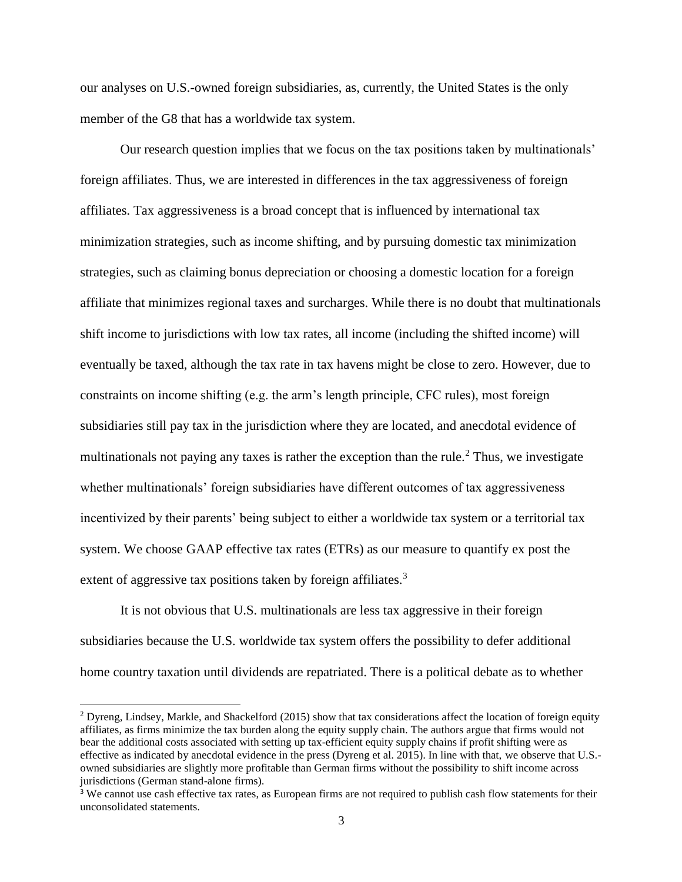our analyses on U.S.-owned foreign subsidiaries, as, currently, the United States is the only member of the G8 that has a worldwide tax system.

Our research question implies that we focus on the tax positions taken by multinationals' foreign affiliates. Thus, we are interested in differences in the tax aggressiveness of foreign affiliates. Tax aggressiveness is a broad concept that is influenced by international tax minimization strategies, such as income shifting, and by pursuing domestic tax minimization strategies, such as claiming bonus depreciation or choosing a domestic location for a foreign affiliate that minimizes regional taxes and surcharges. While there is no doubt that multinationals shift income to jurisdictions with low tax rates, all income (including the shifted income) will eventually be taxed, although the tax rate in tax havens might be close to zero. However, due to constraints on income shifting (e.g. the arm's length principle, CFC rules), most foreign subsidiaries still pay tax in the jurisdiction where they are located, and anecdotal evidence of multinationals not paying any taxes is rather the exception than the rule.<sup>2</sup> Thus, we investigate whether multinationals' foreign subsidiaries have different outcomes of tax aggressiveness incentivized by their parents' being subject to either a worldwide tax system or a territorial tax system. We choose GAAP effective tax rates (ETRs) as our measure to quantify ex post the extent of aggressive tax positions taken by foreign affiliates.<sup>3</sup>

It is not obvious that U.S. multinationals are less tax aggressive in their foreign subsidiaries because the U.S. worldwide tax system offers the possibility to defer additional home country taxation until dividends are repatriated. There is a political debate as to whether

 $\overline{a}$ 

<sup>2</sup> Dyreng, Lindsey, Markle, and Shackelford (2015) show that tax considerations affect the location of foreign equity affiliates, as firms minimize the tax burden along the equity supply chain. The authors argue that firms would not bear the additional costs associated with setting up tax-efficient equity supply chains if profit shifting were as effective as indicated by anecdotal evidence in the press (Dyreng et al. 2015). In line with that, we observe that U.S. owned subsidiaries are slightly more profitable than German firms without the possibility to shift income across jurisdictions (German stand-alone firms).

<sup>&</sup>lt;sup>3</sup> We cannot use cash effective tax rates, as European firms are not required to publish cash flow statements for their unconsolidated statements.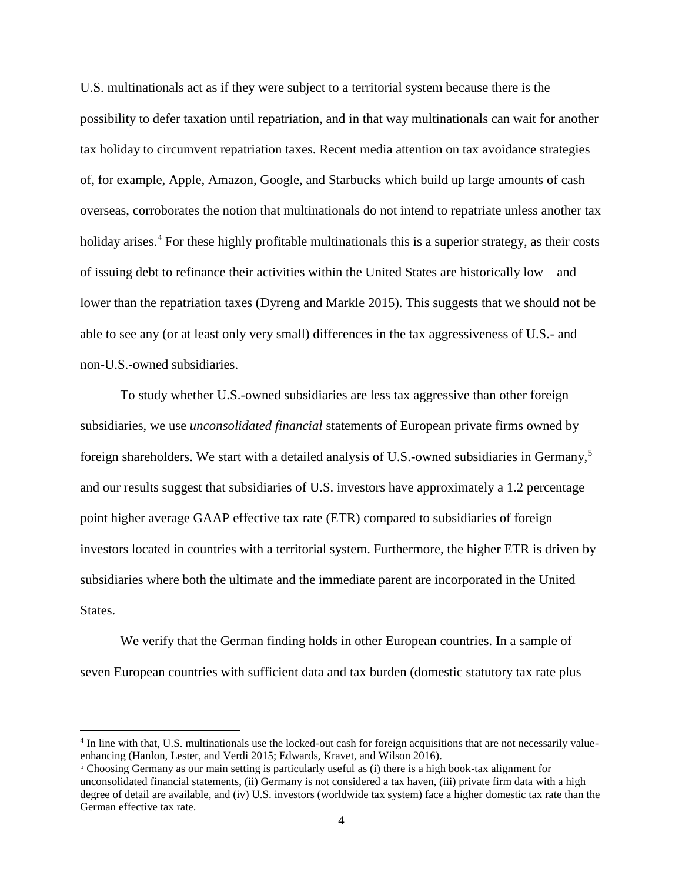U.S. multinationals act as if they were subject to a territorial system because there is the possibility to defer taxation until repatriation, and in that way multinationals can wait for another tax holiday to circumvent repatriation taxes. Recent media attention on tax avoidance strategies of, for example, Apple, Amazon, Google, and Starbucks which build up large amounts of cash overseas, corroborates the notion that multinationals do not intend to repatriate unless another tax holiday arises.<sup>4</sup> For these highly profitable multinationals this is a superior strategy, as their costs of issuing debt to refinance their activities within the United States are historically low – and lower than the repatriation taxes (Dyreng and Markle 2015). This suggests that we should not be able to see any (or at least only very small) differences in the tax aggressiveness of U.S.- and non-U.S.-owned subsidiaries.

To study whether U.S.-owned subsidiaries are less tax aggressive than other foreign subsidiaries, we use *unconsolidated financial* statements of European private firms owned by foreign shareholders. We start with a detailed analysis of U.S.-owned subsidiaries in Germany,<sup>5</sup> and our results suggest that subsidiaries of U.S. investors have approximately a 1.2 percentage point higher average GAAP effective tax rate (ETR) compared to subsidiaries of foreign investors located in countries with a territorial system. Furthermore, the higher ETR is driven by subsidiaries where both the ultimate and the immediate parent are incorporated in the United States.

We verify that the German finding holds in other European countries. In a sample of seven European countries with sufficient data and tax burden (domestic statutory tax rate plus

 $\overline{a}$ 

<sup>&</sup>lt;sup>4</sup> In line with that, U.S. multinationals use the locked-out cash for foreign acquisitions that are not necessarily valueenhancing (Hanlon, Lester, and Verdi 2015; Edwards, Kravet, and Wilson 2016).

<sup>&</sup>lt;sup>5</sup> Choosing Germany as our main setting is particularly useful as (i) there is a high book-tax alignment for unconsolidated financial statements, (ii) Germany is not considered a tax haven, (iii) private firm data with a high degree of detail are available, and (iv) U.S. investors (worldwide tax system) face a higher domestic tax rate than the German effective tax rate.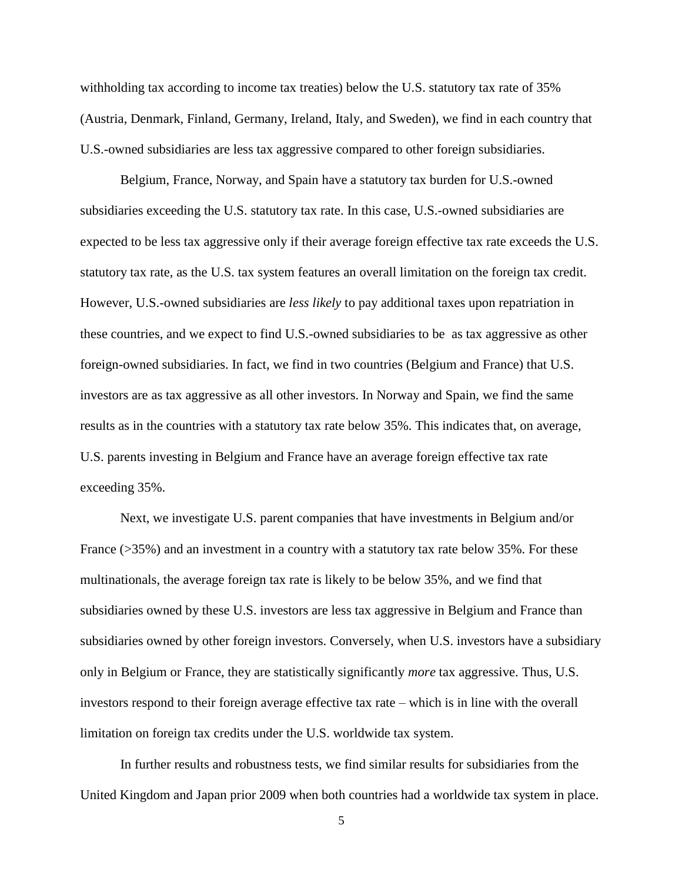withholding tax according to income tax treaties) below the U.S. statutory tax rate of 35% (Austria, Denmark, Finland, Germany, Ireland, Italy, and Sweden), we find in each country that U.S.-owned subsidiaries are less tax aggressive compared to other foreign subsidiaries.

Belgium, France, Norway, and Spain have a statutory tax burden for U.S.-owned subsidiaries exceeding the U.S. statutory tax rate. In this case, U.S.-owned subsidiaries are expected to be less tax aggressive only if their average foreign effective tax rate exceeds the U.S. statutory tax rate, as the U.S. tax system features an overall limitation on the foreign tax credit. However, U.S.-owned subsidiaries are *less likely* to pay additional taxes upon repatriation in these countries, and we expect to find U.S.-owned subsidiaries to be as tax aggressive as other foreign-owned subsidiaries. In fact, we find in two countries (Belgium and France) that U.S. investors are as tax aggressive as all other investors. In Norway and Spain, we find the same results as in the countries with a statutory tax rate below 35%. This indicates that, on average, U.S. parents investing in Belgium and France have an average foreign effective tax rate exceeding 35%.

Next, we investigate U.S. parent companies that have investments in Belgium and/or France (>35%) and an investment in a country with a statutory tax rate below 35%. For these multinationals, the average foreign tax rate is likely to be below 35%, and we find that subsidiaries owned by these U.S. investors are less tax aggressive in Belgium and France than subsidiaries owned by other foreign investors. Conversely, when U.S. investors have a subsidiary only in Belgium or France, they are statistically significantly *more* tax aggressive. Thus, U.S. investors respond to their foreign average effective tax rate – which is in line with the overall limitation on foreign tax credits under the U.S. worldwide tax system.

In further results and robustness tests, we find similar results for subsidiaries from the United Kingdom and Japan prior 2009 when both countries had a worldwide tax system in place.

5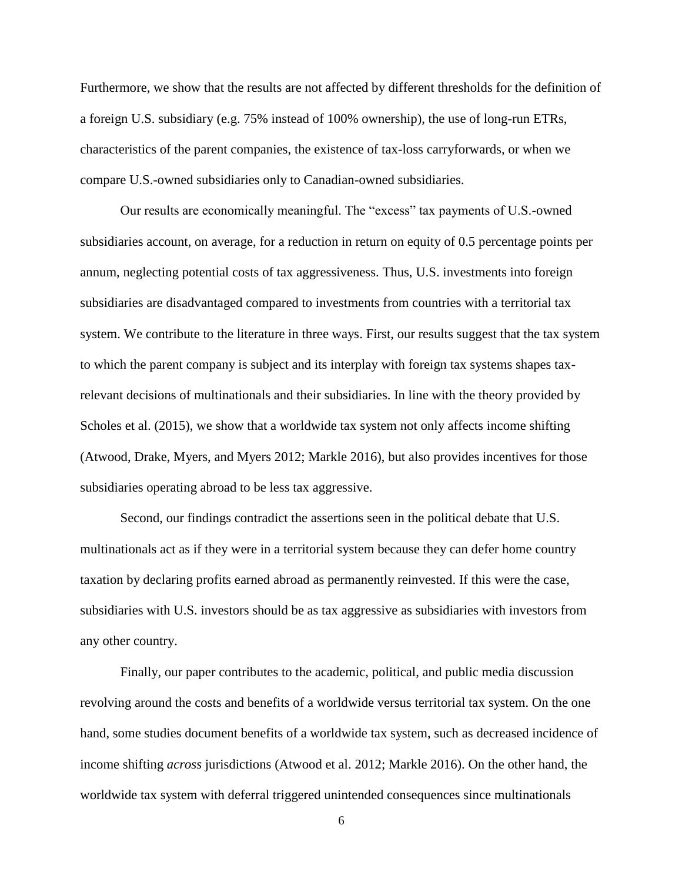Furthermore, we show that the results are not affected by different thresholds for the definition of a foreign U.S. subsidiary (e.g. 75% instead of 100% ownership), the use of long-run ETRs, characteristics of the parent companies, the existence of tax-loss carryforwards, or when we compare U.S.-owned subsidiaries only to Canadian-owned subsidiaries.

Our results are economically meaningful. The "excess" tax payments of U.S.-owned subsidiaries account, on average, for a reduction in return on equity of 0.5 percentage points per annum, neglecting potential costs of tax aggressiveness. Thus, U.S. investments into foreign subsidiaries are disadvantaged compared to investments from countries with a territorial tax system. We contribute to the literature in three ways. First, our results suggest that the tax system to which the parent company is subject and its interplay with foreign tax systems shapes taxrelevant decisions of multinationals and their subsidiaries. In line with the theory provided by Scholes et al. (2015), we show that a worldwide tax system not only affects income shifting (Atwood, Drake, Myers, and Myers 2012; Markle 2016), but also provides incentives for those subsidiaries operating abroad to be less tax aggressive.

Second, our findings contradict the assertions seen in the political debate that U.S. multinationals act as if they were in a territorial system because they can defer home country taxation by declaring profits earned abroad as permanently reinvested. If this were the case, subsidiaries with U.S. investors should be as tax aggressive as subsidiaries with investors from any other country.

Finally, our paper contributes to the academic, political, and public media discussion revolving around the costs and benefits of a worldwide versus territorial tax system. On the one hand, some studies document benefits of a worldwide tax system, such as decreased incidence of income shifting *across* jurisdictions (Atwood et al. 2012; Markle 2016). On the other hand, the worldwide tax system with deferral triggered unintended consequences since multinationals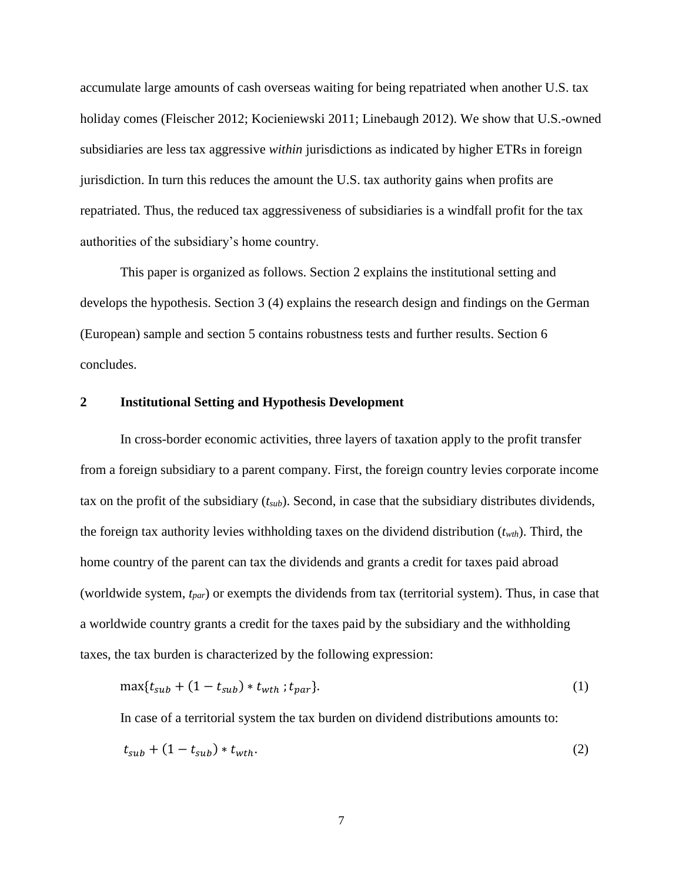accumulate large amounts of cash overseas waiting for being repatriated when another U.S. tax holiday comes (Fleischer 2012; Kocieniewski 2011; Linebaugh 2012). We show that U.S.-owned subsidiaries are less tax aggressive *within* jurisdictions as indicated by higher ETRs in foreign jurisdiction. In turn this reduces the amount the U.S. tax authority gains when profits are repatriated. Thus, the reduced tax aggressiveness of subsidiaries is a windfall profit for the tax authorities of the subsidiary's home country.

This paper is organized as follows. Section 2 explains the institutional setting and develops the hypothesis. Section 3 (4) explains the research design and findings on the German (European) sample and section 5 contains robustness tests and further results. Section 6 concludes.

# **2 Institutional Setting and Hypothesis Development**

In cross-border economic activities, three layers of taxation apply to the profit transfer from a foreign subsidiary to a parent company. First, the foreign country levies corporate income tax on the profit of the subsidiary (*tsub*). Second, in case that the subsidiary distributes dividends, the foreign tax authority levies withholding taxes on the dividend distribution (*twth*). Third, the home country of the parent can tax the dividends and grants a credit for taxes paid abroad (worldwide system, *tpar*) or exempts the dividends from tax (territorial system). Thus, in case that a worldwide country grants a credit for the taxes paid by the subsidiary and the withholding taxes, the tax burden is characterized by the following expression:

$$
\max\{t_{sub} + (1 - t_{sub}) * t_{wth} ; t_{par}\}.
$$
 (1)

In case of a territorial system the tax burden on dividend distributions amounts to:

$$
t_{sub} + (1 - t_{sub}) * t_{wth}.\tag{2}
$$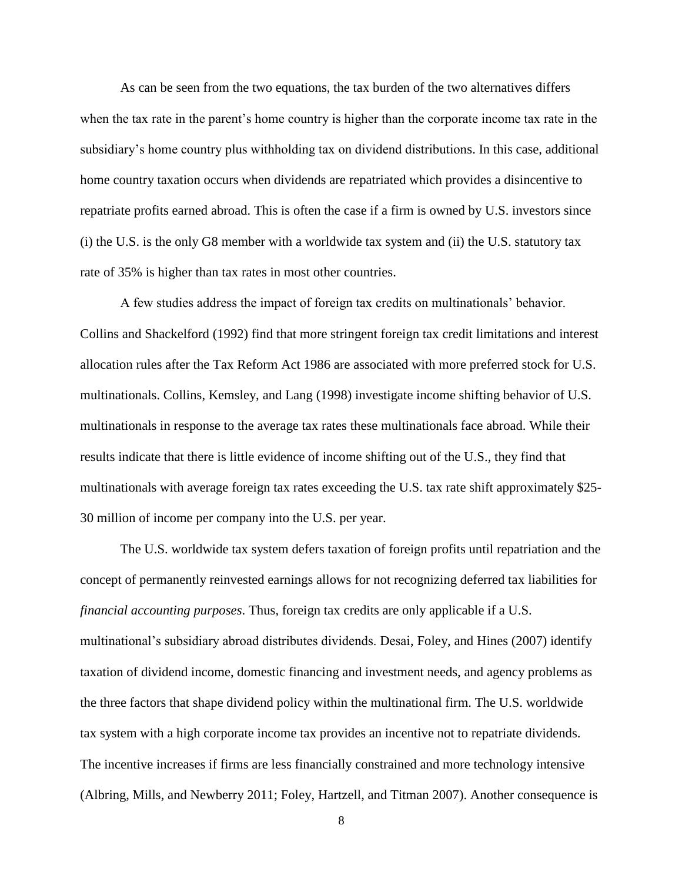As can be seen from the two equations, the tax burden of the two alternatives differs when the tax rate in the parent's home country is higher than the corporate income tax rate in the subsidiary's home country plus withholding tax on dividend distributions. In this case, additional home country taxation occurs when dividends are repatriated which provides a disincentive to repatriate profits earned abroad. This is often the case if a firm is owned by U.S. investors since (i) the U.S. is the only G8 member with a worldwide tax system and (ii) the U.S. statutory tax rate of 35% is higher than tax rates in most other countries.

A few studies address the impact of foreign tax credits on multinationals' behavior. Collins and Shackelford (1992) find that more stringent foreign tax credit limitations and interest allocation rules after the Tax Reform Act 1986 are associated with more preferred stock for U.S. multinationals. Collins, Kemsley, and Lang (1998) investigate income shifting behavior of U.S. multinationals in response to the average tax rates these multinationals face abroad. While their results indicate that there is little evidence of income shifting out of the U.S., they find that multinationals with average foreign tax rates exceeding the U.S. tax rate shift approximately \$25- 30 million of income per company into the U.S. per year.

The U.S. worldwide tax system defers taxation of foreign profits until repatriation and the concept of permanently reinvested earnings allows for not recognizing deferred tax liabilities for *financial accounting purposes*. Thus, foreign tax credits are only applicable if a U.S. multinational's subsidiary abroad distributes dividends. Desai, Foley, and Hines (2007) identify taxation of dividend income, domestic financing and investment needs, and agency problems as the three factors that shape dividend policy within the multinational firm. The U.S. worldwide tax system with a high corporate income tax provides an incentive not to repatriate dividends. The incentive increases if firms are less financially constrained and more technology intensive (Albring, Mills, and Newberry 2011; Foley, Hartzell, and Titman 2007). Another consequence is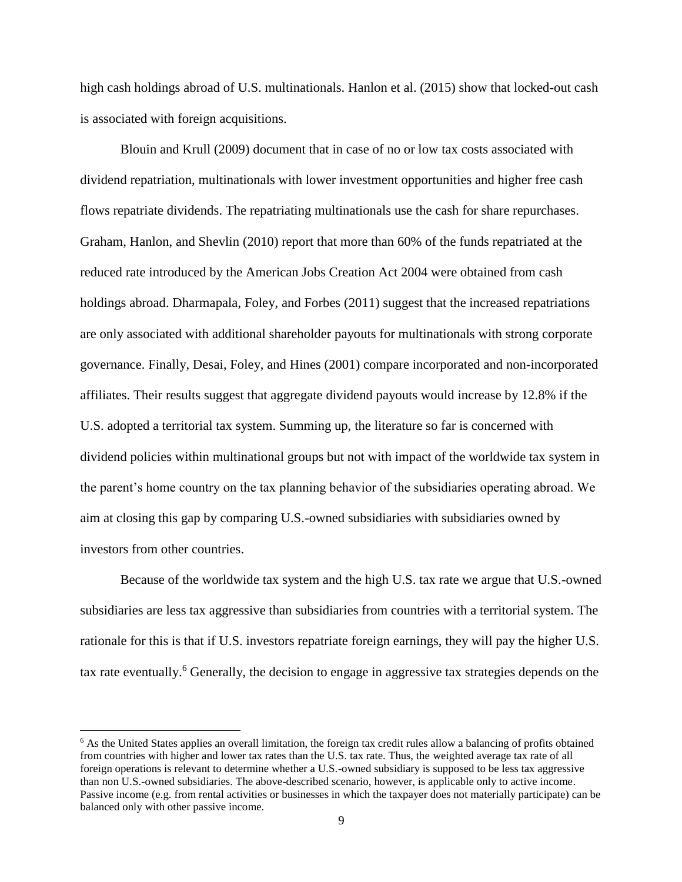high cash holdings abroad of U.S. multinationals. Hanlon et al. (2015) show that locked-out cash is associated with foreign acquisitions.

Blouin and Krull (2009) document that in case of no or low tax costs associated with dividend repatriation, multinationals with lower investment opportunities and higher free cash flows repatriate dividends. The repatriating multinationals use the cash for share repurchases. Graham, Hanlon, and Shevlin (2010) report that more than 60% of the funds repatriated at the reduced rate introduced by the American Jobs Creation Act 2004 were obtained from cash holdings abroad. Dharmapala, Foley, and Forbes (2011) suggest that the increased repatriations are only associated with additional shareholder payouts for multinationals with strong corporate governance. Finally, Desai, Foley, and Hines (2001) compare incorporated and non-incorporated affiliates. Their results suggest that aggregate dividend payouts would increase by 12.8% if the U.S. adopted a territorial tax system. Summing up, the literature so far is concerned with dividend policies within multinational groups but not with impact of the worldwide tax system in the parent's home country on the tax planning behavior of the subsidiaries operating abroad. We aim at closing this gap by comparing U.S.-owned subsidiaries with subsidiaries owned by investors from other countries.

Because of the worldwide tax system and the high U.S. tax rate we argue that U.S.-owned subsidiaries are less tax aggressive than subsidiaries from countries with a territorial system. The rationale for this is that if U.S. investors repatriate foreign earnings, they will pay the higher U.S. tax rate eventually.<sup>6</sup> Generally, the decision to engage in aggressive tax strategies depends on the

 $\overline{a}$ 

<sup>&</sup>lt;sup>6</sup> As the United States applies an overall limitation, the foreign tax credit rules allow a balancing of profits obtained from countries with higher and lower tax rates than the U.S. tax rate. Thus, the weighted average tax rate of all foreign operations is relevant to determine whether a U.S.-owned subsidiary is supposed to be less tax aggressive than non U.S.-owned subsidiaries. The above-described scenario, however, is applicable only to active income. Passive income (e.g. from rental activities or businesses in which the taxpayer does not materially participate) can be balanced only with other passive income.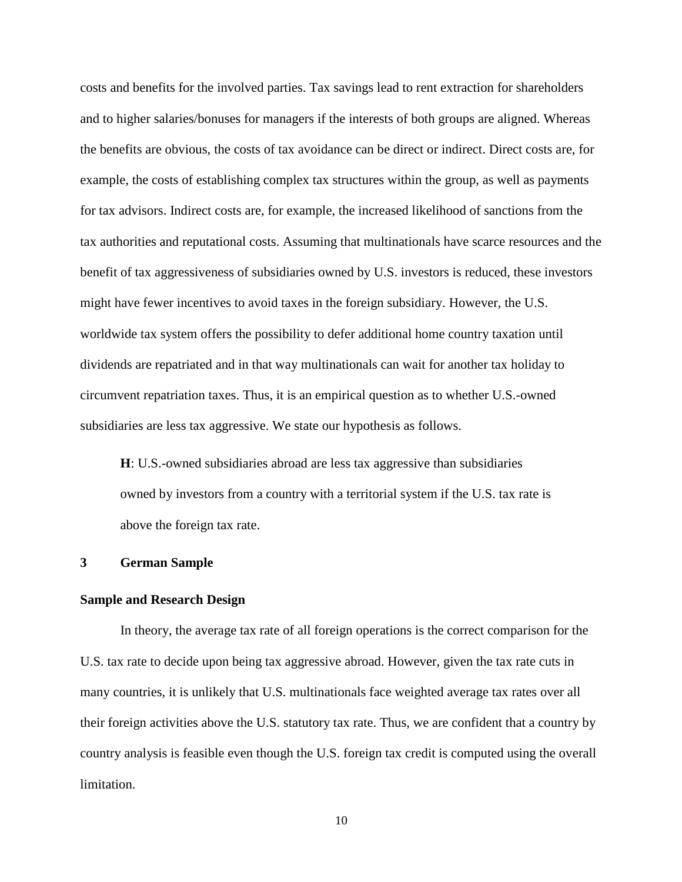costs and benefits for the involved parties. Tax savings lead to rent extraction for shareholders and to higher salaries/bonuses for managers if the interests of both groups are aligned. Whereas the benefits are obvious, the costs of tax avoidance can be direct or indirect. Direct costs are, for example, the costs of establishing complex tax structures within the group, as well as payments for tax advisors. Indirect costs are, for example, the increased likelihood of sanctions from the tax authorities and reputational costs. Assuming that multinationals have scarce resources and the benefit of tax aggressiveness of subsidiaries owned by U.S. investors is reduced, these investors might have fewer incentives to avoid taxes in the foreign subsidiary. However, the U.S. worldwide tax system offers the possibility to defer additional home country taxation until dividends are repatriated and in that way multinationals can wait for another tax holiday to circumvent repatriation taxes. Thus, it is an empirical question as to whether U.S.-owned subsidiaries are less tax aggressive. We state our hypothesis as follows.

**H**: U.S.-owned subsidiaries abroad are less tax aggressive than subsidiaries owned by investors from a country with a territorial system if the U.S. tax rate is above the foreign tax rate.

# **3 German Sample**

# **Sample and Research Design**

In theory, the average tax rate of all foreign operations is the correct comparison for the U.S. tax rate to decide upon being tax aggressive abroad. However, given the tax rate cuts in many countries, it is unlikely that U.S. multinationals face weighted average tax rates over all their foreign activities above the U.S. statutory tax rate. Thus, we are confident that a country by country analysis is feasible even though the U.S. foreign tax credit is computed using the overall limitation.

10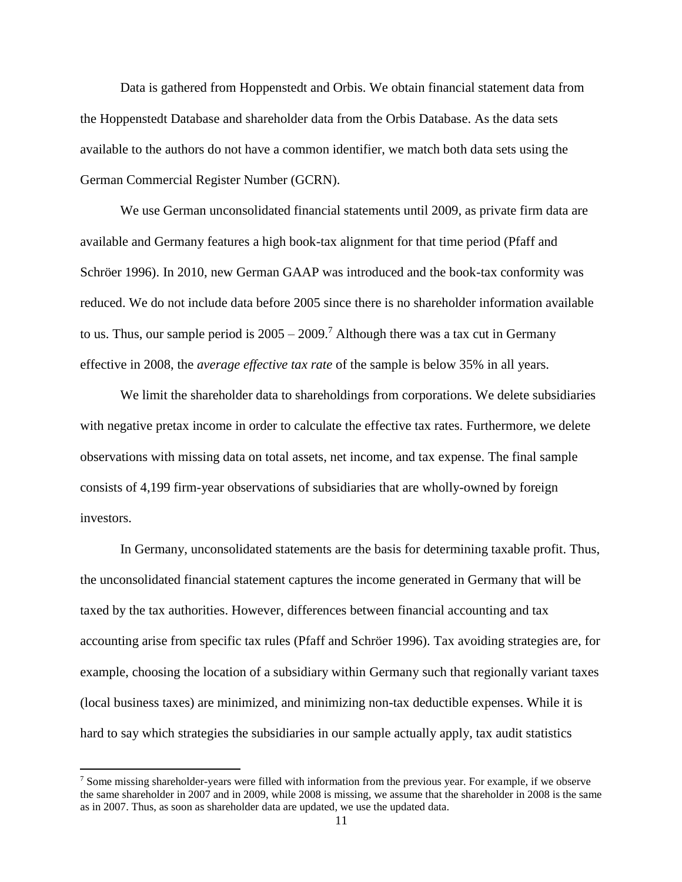Data is gathered from Hoppenstedt and Orbis. We obtain financial statement data from the Hoppenstedt Database and shareholder data from the Orbis Database. As the data sets available to the authors do not have a common identifier, we match both data sets using the German Commercial Register Number (GCRN).

We use German unconsolidated financial statements until 2009, as private firm data are available and Germany features a high book-tax alignment for that time period (Pfaff and Schröer 1996). In 2010, new German GAAP was introduced and the book-tax conformity was reduced. We do not include data before 2005 since there is no shareholder information available to us. Thus, our sample period is  $2005 - 2009$ .<sup>7</sup> Although there was a tax cut in Germany effective in 2008, the *average effective tax rate* of the sample is below 35% in all years.

We limit the shareholder data to shareholdings from corporations. We delete subsidiaries with negative pretax income in order to calculate the effective tax rates. Furthermore, we delete observations with missing data on total assets, net income, and tax expense. The final sample consists of 4,199 firm-year observations of subsidiaries that are wholly-owned by foreign investors.

In Germany, unconsolidated statements are the basis for determining taxable profit. Thus, the unconsolidated financial statement captures the income generated in Germany that will be taxed by the tax authorities. However, differences between financial accounting and tax accounting arise from specific tax rules (Pfaff and Schröer 1996). Tax avoiding strategies are, for example, choosing the location of a subsidiary within Germany such that regionally variant taxes (local business taxes) are minimized, and minimizing non-tax deductible expenses. While it is hard to say which strategies the subsidiaries in our sample actually apply, tax audit statistics

l

 $<sup>7</sup>$  Some missing shareholder-years were filled with information from the previous year. For example, if we observe</sup> the same shareholder in 2007 and in 2009, while 2008 is missing, we assume that the shareholder in 2008 is the same as in 2007. Thus, as soon as shareholder data are updated, we use the updated data.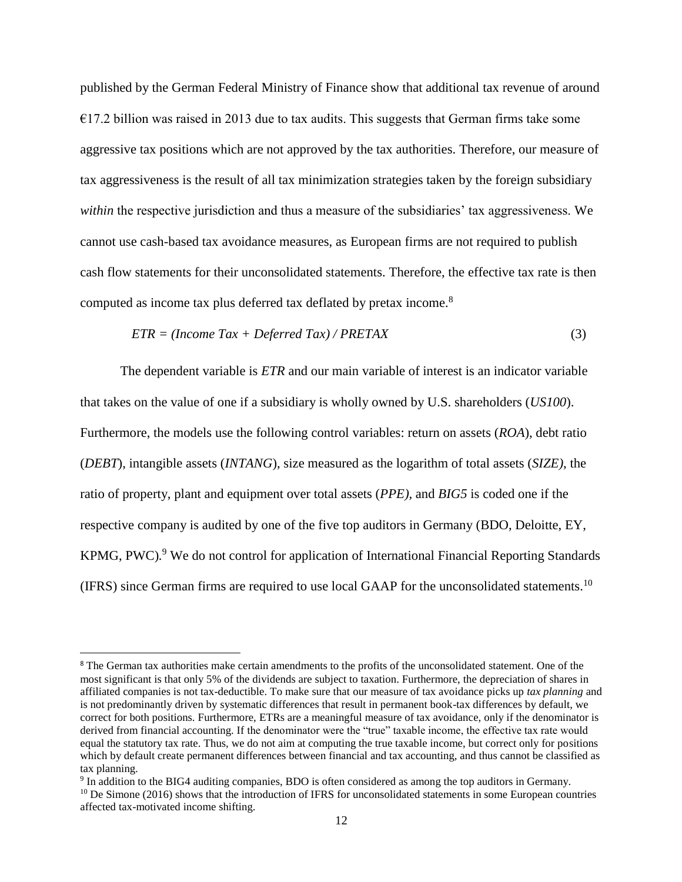published by the German Federal Ministry of Finance show that additional tax revenue of around  $E17.2$  billion was raised in 2013 due to tax audits. This suggests that German firms take some aggressive tax positions which are not approved by the tax authorities. Therefore, our measure of tax aggressiveness is the result of all tax minimization strategies taken by the foreign subsidiary *within* the respective jurisdiction and thus a measure of the subsidiaries' tax aggressiveness. We cannot use cash-based tax avoidance measures, as European firms are not required to publish cash flow statements for their unconsolidated statements. Therefore, the effective tax rate is then computed as income tax plus deferred tax deflated by pretax income.<sup>8</sup>

$$
ETR = (Income Tax + Deferred Tax) / PRETAX
$$
\n(3)

The dependent variable is *ETR* and our main variable of interest is an indicator variable that takes on the value of one if a subsidiary is wholly owned by U.S. shareholders (*US100*). Furthermore, the models use the following control variables: return on assets (*ROA*), debt ratio (*DEBT*), intangible assets (*INTANG*), size measured as the logarithm of total assets (*SIZE)*, the ratio of property, plant and equipment over total assets (*PPE),* and *BIG5* is coded one if the respective company is audited by one of the five top auditors in Germany (BDO, Deloitte, EY, KPMG, PWC)*.* <sup>9</sup> We do not control for application of International Financial Reporting Standards (IFRS) since German firms are required to use local GAAP for the unconsolidated statements.<sup>10</sup>

 $\overline{\phantom{a}}$ 

<sup>&</sup>lt;sup>8</sup> The German tax authorities make certain amendments to the profits of the unconsolidated statement. One of the most significant is that only 5% of the dividends are subject to taxation. Furthermore, the depreciation of shares in affiliated companies is not tax-deductible. To make sure that our measure of tax avoidance picks up *tax planning* and is not predominantly driven by systematic differences that result in permanent book-tax differences by default, we correct for both positions. Furthermore, ETRs are a meaningful measure of tax avoidance, only if the denominator is derived from financial accounting. If the denominator were the "true" taxable income, the effective tax rate would equal the statutory tax rate. Thus, we do not aim at computing the true taxable income, but correct only for positions which by default create permanent differences between financial and tax accounting, and thus cannot be classified as tax planning.

<sup>9</sup> In addition to the BIG4 auditing companies, BDO is often considered as among the top auditors in Germany.

 $10$  De Simone (2016) shows that the introduction of IFRS for unconsolidated statements in some European countries affected tax-motivated income shifting.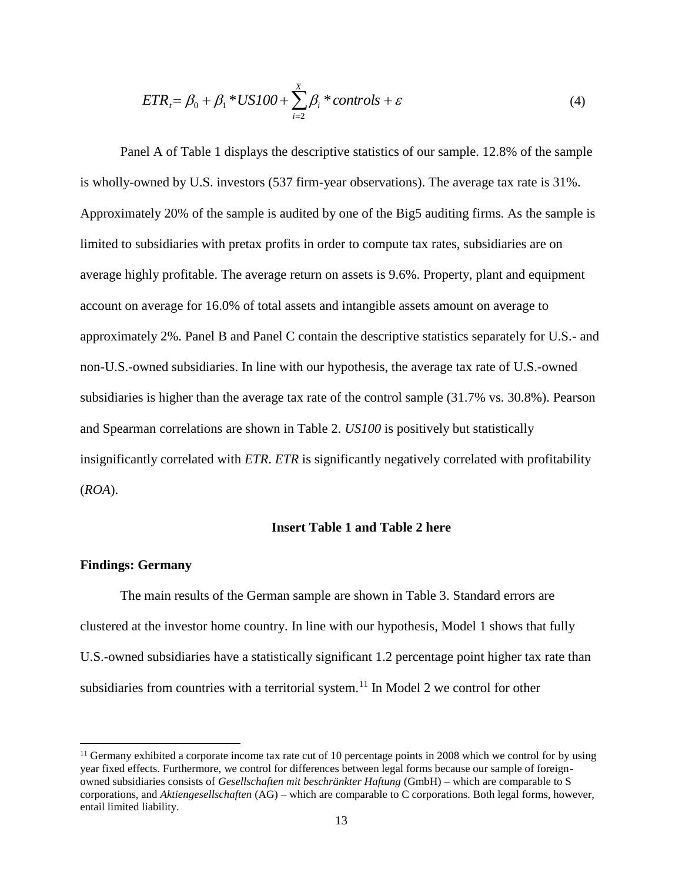$$
ETR_i = \beta_0 + \beta_1 * US100 + \sum_{i=2}^{X} \beta_i * controls + \varepsilon
$$
 (4)

Panel A of Table 1 displays the descriptive statistics of our sample. 12.8% of the sample is wholly-owned by U.S. investors (537 firm-year observations). The average tax rate is 31%. Approximately 20% of the sample is audited by one of the Big5 auditing firms. As the sample is limited to subsidiaries with pretax profits in order to compute tax rates, subsidiaries are on average highly profitable. The average return on assets is 9.6%. Property, plant and equipment account on average for 16.0% of total assets and intangible assets amount on average to approximately 2%. Panel B and Panel C contain the descriptive statistics separately for U.S.- and non-U.S.-owned subsidiaries. In line with our hypothesis, the average tax rate of U.S.-owned subsidiaries is higher than the average tax rate of the control sample (31.7% vs. 30.8%). Pearson and Spearman correlations are shown in Table 2. *US100* is positively but statistically insignificantly correlated with *ETR*. *ETR* is significantly negatively correlated with profitability (*ROA*).

# **Insert Table 1 and Table 2 here**

# **Findings: Germany**

 $\overline{\phantom{a}}$ 

The main results of the German sample are shown in Table 3. Standard errors are clustered at the investor home country. In line with our hypothesis, Model 1 shows that fully U.S.-owned subsidiaries have a statistically significant 1.2 percentage point higher tax rate than subsidiaries from countries with a territorial system.<sup>11</sup> In Model 2 we control for other

 $11$  Germany exhibited a corporate income tax rate cut of 10 percentage points in 2008 which we control for by using year fixed effects. Furthermore, we control for differences between legal forms because our sample of foreignowned subsidiaries consists of *Gesellschaften mit beschränkter Haftung* (GmbH) – which are comparable to S corporations, and *Aktiengesellschaften* (AG) – which are comparable to C corporations. Both legal forms, however, entail limited liability.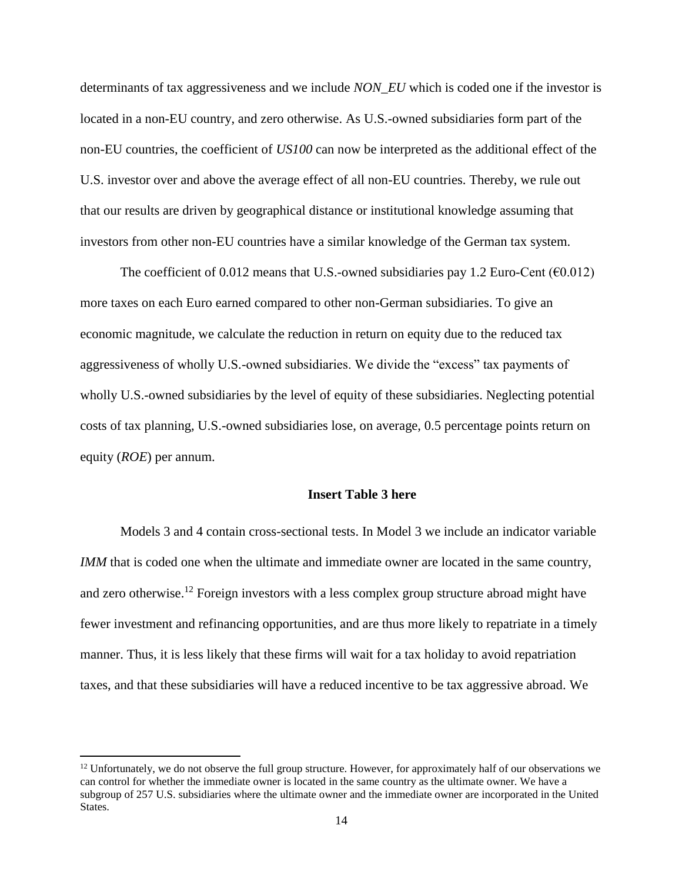determinants of tax aggressiveness and we include *NON\_EU* which is coded one if the investor is located in a non-EU country, and zero otherwise. As U.S.-owned subsidiaries form part of the non-EU countries, the coefficient of *US100* can now be interpreted as the additional effect of the U.S. investor over and above the average effect of all non-EU countries. Thereby, we rule out that our results are driven by geographical distance or institutional knowledge assuming that investors from other non-EU countries have a similar knowledge of the German tax system.

The coefficient of 0.012 means that U.S.-owned subsidiaries pay 1.2 Euro-Cent ( $\epsilon$ 0.012) more taxes on each Euro earned compared to other non-German subsidiaries. To give an economic magnitude, we calculate the reduction in return on equity due to the reduced tax aggressiveness of wholly U.S.-owned subsidiaries. We divide the "excess" tax payments of wholly U.S.-owned subsidiaries by the level of equity of these subsidiaries. Neglecting potential costs of tax planning, U.S.-owned subsidiaries lose, on average, 0.5 percentage points return on equity (*ROE*) per annum.

## **Insert Table 3 here**

Models 3 and 4 contain cross-sectional tests. In Model 3 we include an indicator variable *IMM* that is coded one when the ultimate and immediate owner are located in the same country, and zero otherwise.<sup>12</sup> Foreign investors with a less complex group structure abroad might have fewer investment and refinancing opportunities, and are thus more likely to repatriate in a timely manner. Thus, it is less likely that these firms will wait for a tax holiday to avoid repatriation taxes, and that these subsidiaries will have a reduced incentive to be tax aggressive abroad. We

 $\overline{\phantom{a}}$ 

 $12$  Unfortunately, we do not observe the full group structure. However, for approximately half of our observations we can control for whether the immediate owner is located in the same country as the ultimate owner. We have a subgroup of 257 U.S. subsidiaries where the ultimate owner and the immediate owner are incorporated in the United States.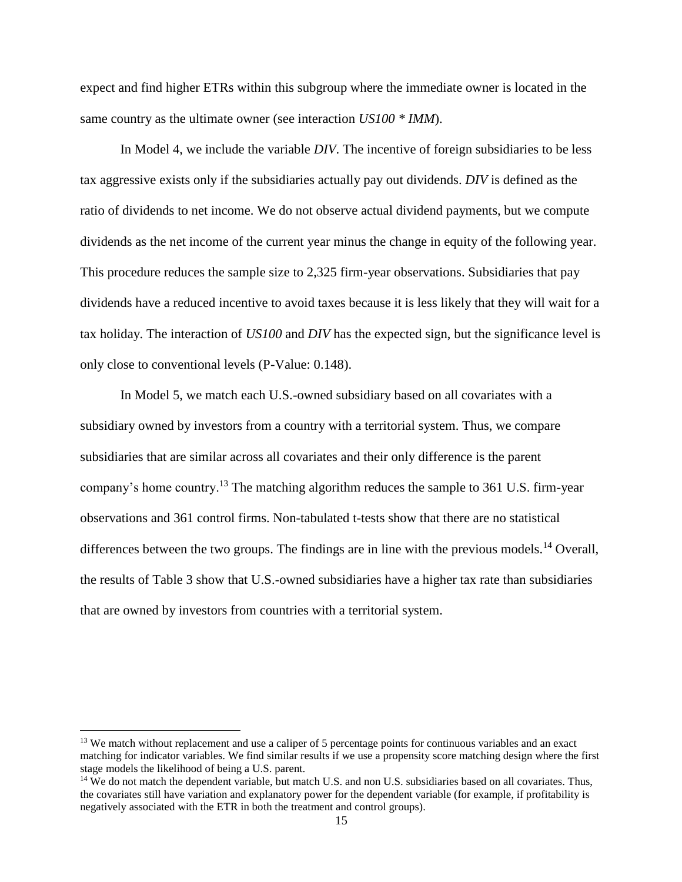expect and find higher ETRs within this subgroup where the immediate owner is located in the same country as the ultimate owner (see interaction *US100 \* IMM*).

In Model 4, we include the variable *DIV*. The incentive of foreign subsidiaries to be less tax aggressive exists only if the subsidiaries actually pay out dividends. *DIV* is defined as the ratio of dividends to net income. We do not observe actual dividend payments, but we compute dividends as the net income of the current year minus the change in equity of the following year. This procedure reduces the sample size to 2,325 firm-year observations. Subsidiaries that pay dividends have a reduced incentive to avoid taxes because it is less likely that they will wait for a tax holiday. The interaction of *US100* and *DIV* has the expected sign, but the significance level is only close to conventional levels (P-Value: 0.148).

In Model 5, we match each U.S.-owned subsidiary based on all covariates with a subsidiary owned by investors from a country with a territorial system. Thus, we compare subsidiaries that are similar across all covariates and their only difference is the parent company's home country.<sup>13</sup> The matching algorithm reduces the sample to 361 U.S. firm-year observations and 361 control firms. Non-tabulated t-tests show that there are no statistical differences between the two groups. The findings are in line with the previous models.<sup>14</sup> Overall, the results of Table 3 show that U.S.-owned subsidiaries have a higher tax rate than subsidiaries that are owned by investors from countries with a territorial system.

 $\overline{a}$ 

<sup>&</sup>lt;sup>13</sup> We match without replacement and use a caliper of 5 percentage points for continuous variables and an exact matching for indicator variables. We find similar results if we use a propensity score matching design where the first stage models the likelihood of being a U.S. parent.

<sup>&</sup>lt;sup>14</sup> We do not match the dependent variable, but match U.S. and non U.S. subsidiaries based on all covariates. Thus, the covariates still have variation and explanatory power for the dependent variable (for example, if profitability is negatively associated with the ETR in both the treatment and control groups).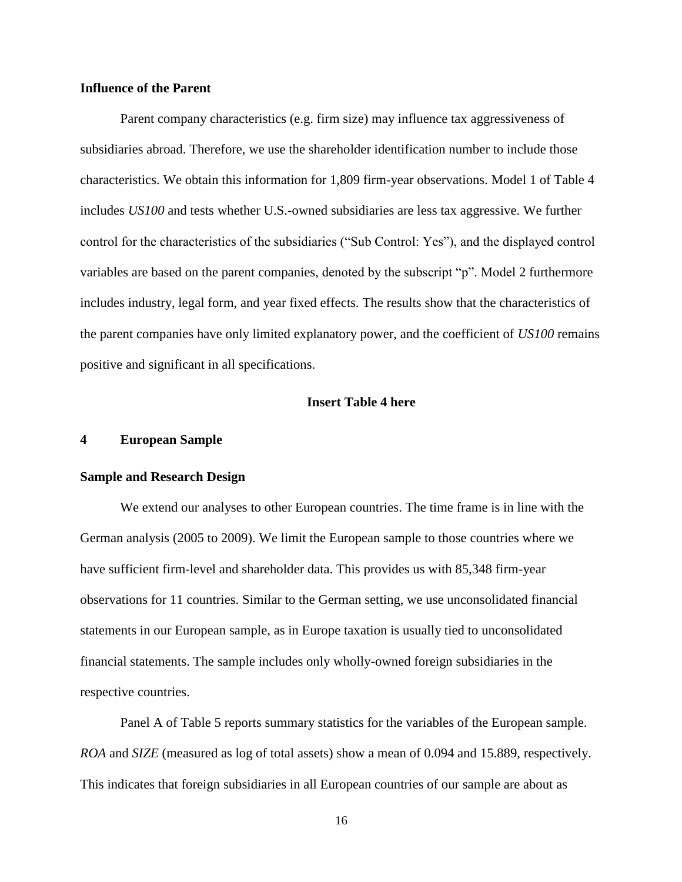# **Influence of the Parent**

Parent company characteristics (e.g. firm size) may influence tax aggressiveness of subsidiaries abroad. Therefore, we use the shareholder identification number to include those characteristics. We obtain this information for 1,809 firm-year observations. Model 1 of Table 4 includes *US100* and tests whether U.S.-owned subsidiaries are less tax aggressive. We further control for the characteristics of the subsidiaries ("Sub Control: Yes"), and the displayed control variables are based on the parent companies, denoted by the subscript "p". Model 2 furthermore includes industry, legal form, and year fixed effects. The results show that the characteristics of the parent companies have only limited explanatory power, and the coefficient of *US100* remains positive and significant in all specifications.

# **Insert Table 4 here**

# **4 European Sample**

#### **Sample and Research Design**

We extend our analyses to other European countries. The time frame is in line with the German analysis (2005 to 2009). We limit the European sample to those countries where we have sufficient firm-level and shareholder data. This provides us with 85,348 firm-year observations for 11 countries. Similar to the German setting, we use unconsolidated financial statements in our European sample, as in Europe taxation is usually tied to unconsolidated financial statements. The sample includes only wholly-owned foreign subsidiaries in the respective countries.

Panel A of Table 5 reports summary statistics for the variables of the European sample. *ROA* and *SIZE* (measured as log of total assets) show a mean of 0.094 and 15.889, respectively. This indicates that foreign subsidiaries in all European countries of our sample are about as

16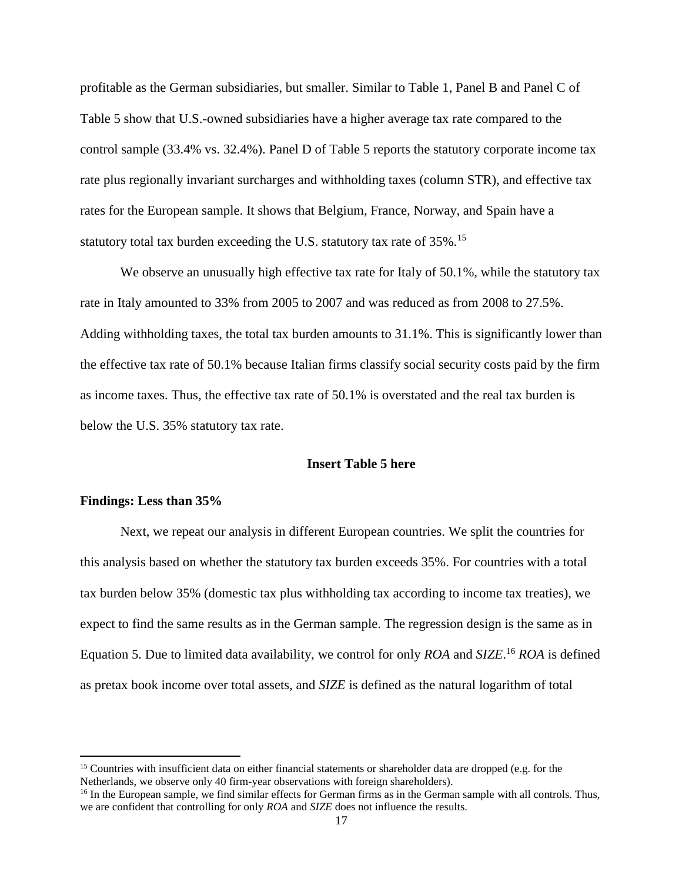profitable as the German subsidiaries, but smaller. Similar to Table 1, Panel B and Panel C of Table 5 show that U.S.-owned subsidiaries have a higher average tax rate compared to the control sample (33.4% vs. 32.4%). Panel D of Table 5 reports the statutory corporate income tax rate plus regionally invariant surcharges and withholding taxes (column STR), and effective tax rates for the European sample. It shows that Belgium, France, Norway, and Spain have a statutory total tax burden exceeding the U.S. statutory tax rate of 35%.<sup>15</sup>

We observe an unusually high effective tax rate for Italy of 50.1%, while the statutory tax rate in Italy amounted to 33% from 2005 to 2007 and was reduced as from 2008 to 27.5%. Adding withholding taxes, the total tax burden amounts to 31.1%. This is significantly lower than the effective tax rate of 50.1% because Italian firms classify social security costs paid by the firm as income taxes. Thus, the effective tax rate of 50.1% is overstated and the real tax burden is below the U.S. 35% statutory tax rate.

# **Insert Table 5 here**

# **Findings: Less than 35%**

 $\overline{\phantom{a}}$ 

Next, we repeat our analysis in different European countries. We split the countries for this analysis based on whether the statutory tax burden exceeds 35%. For countries with a total tax burden below 35% (domestic tax plus withholding tax according to income tax treaties), we expect to find the same results as in the German sample. The regression design is the same as in Equation 5. Due to limited data availability, we control for only *ROA* and *SIZE*. <sup>16</sup> *ROA* is defined as pretax book income over total assets, and *SIZE* is defined as the natural logarithm of total

<sup>&</sup>lt;sup>15</sup> Countries with insufficient data on either financial statements or shareholder data are dropped (e.g. for the Netherlands, we observe only 40 firm-year observations with foreign shareholders).

<sup>&</sup>lt;sup>16</sup> In the European sample, we find similar effects for German firms as in the German sample with all controls. Thus, we are confident that controlling for only *ROA* and *SIZE* does not influence the results.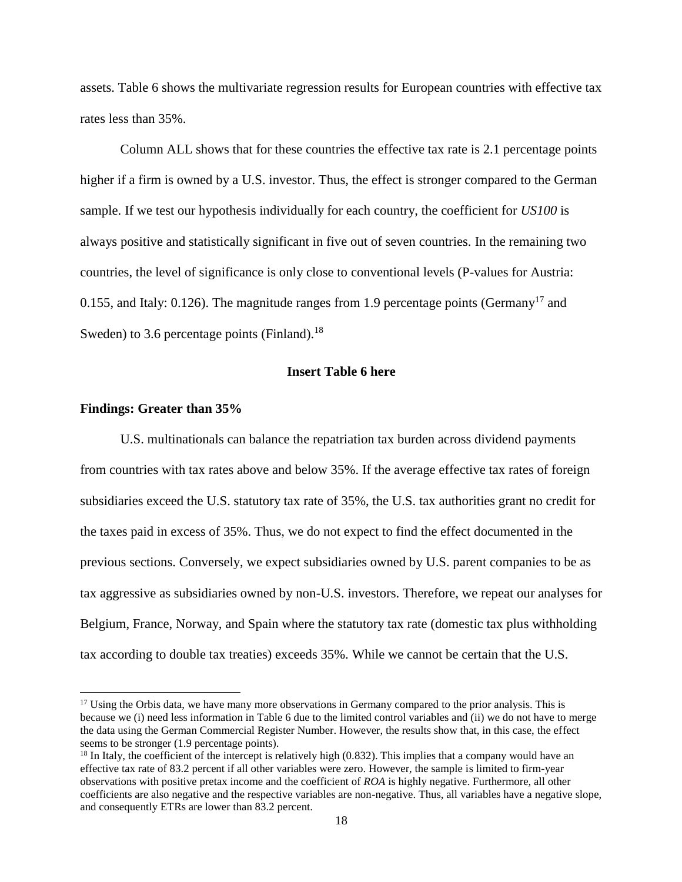assets. Table 6 shows the multivariate regression results for European countries with effective tax rates less than 35%.

Column ALL shows that for these countries the effective tax rate is 2.1 percentage points higher if a firm is owned by a U.S. investor. Thus, the effect is stronger compared to the German sample. If we test our hypothesis individually for each country, the coefficient for *US100* is always positive and statistically significant in five out of seven countries. In the remaining two countries, the level of significance is only close to conventional levels (P-values for Austria: 0.155, and Italy: 0.126). The magnitude ranges from 1.9 percentage points (Germany<sup>17</sup> and Sweden) to 3.6 percentage points (Finland).<sup>18</sup>

# **Insert Table 6 here**

# **Findings: Greater than 35%**

l

U.S. multinationals can balance the repatriation tax burden across dividend payments from countries with tax rates above and below 35%. If the average effective tax rates of foreign subsidiaries exceed the U.S. statutory tax rate of 35%, the U.S. tax authorities grant no credit for the taxes paid in excess of 35%. Thus, we do not expect to find the effect documented in the previous sections. Conversely, we expect subsidiaries owned by U.S. parent companies to be as tax aggressive as subsidiaries owned by non-U.S. investors. Therefore, we repeat our analyses for Belgium, France, Norway, and Spain where the statutory tax rate (domestic tax plus withholding tax according to double tax treaties) exceeds 35%. While we cannot be certain that the U.S.

 $17$  Using the Orbis data, we have many more observations in Germany compared to the prior analysis. This is because we (i) need less information in Table 6 due to the limited control variables and (ii) we do not have to merge the data using the German Commercial Register Number. However, the results show that, in this case, the effect seems to be stronger (1.9 percentage points).

 $18$  In Italy, the coefficient of the intercept is relatively high (0.832). This implies that a company would have an effective tax rate of 83.2 percent if all other variables were zero. However, the sample is limited to firm-year observations with positive pretax income and the coefficient of *ROA* is highly negative. Furthermore, all other coefficients are also negative and the respective variables are non-negative. Thus, all variables have a negative slope, and consequently ETRs are lower than 83.2 percent.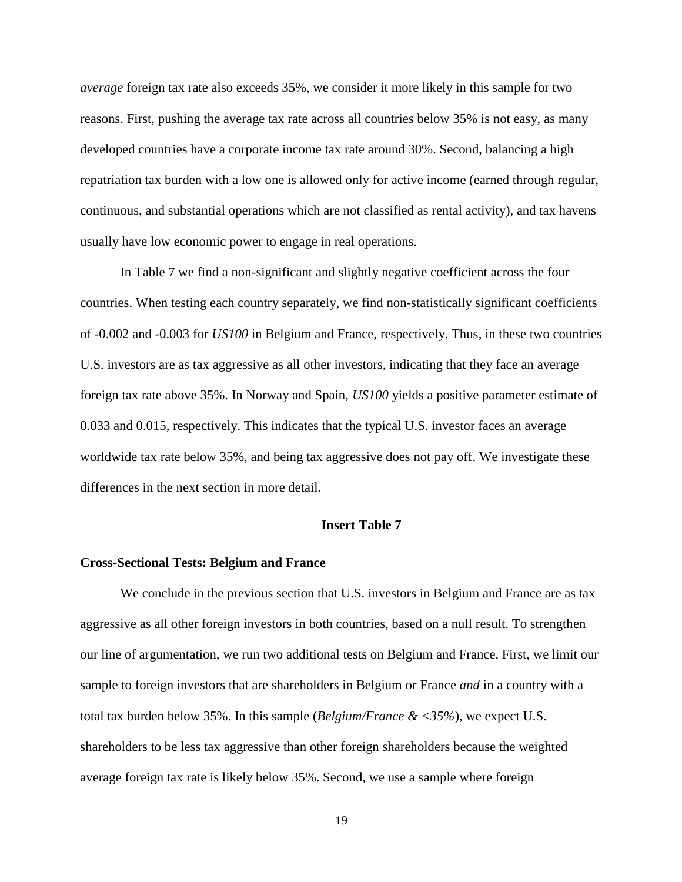*average* foreign tax rate also exceeds 35%, we consider it more likely in this sample for two reasons. First, pushing the average tax rate across all countries below 35% is not easy, as many developed countries have a corporate income tax rate around 30%. Second, balancing a high repatriation tax burden with a low one is allowed only for active income (earned through regular, continuous, and substantial operations which are not classified as rental activity), and tax havens usually have low economic power to engage in real operations.

In Table 7 we find a non-significant and slightly negative coefficient across the four countries. When testing each country separately, we find non-statistically significant coefficients of -0.002 and -0.003 for *US100* in Belgium and France, respectively. Thus, in these two countries U.S. investors are as tax aggressive as all other investors, indicating that they face an average foreign tax rate above 35%. In Norway and Spain, *US100* yields a positive parameter estimate of 0.033 and 0.015, respectively. This indicates that the typical U.S. investor faces an average worldwide tax rate below 35%, and being tax aggressive does not pay off. We investigate these differences in the next section in more detail.

#### **Insert Table 7**

# **Cross-Sectional Tests: Belgium and France**

We conclude in the previous section that U.S. investors in Belgium and France are as tax aggressive as all other foreign investors in both countries, based on a null result. To strengthen our line of argumentation, we run two additional tests on Belgium and France. First, we limit our sample to foreign investors that are shareholders in Belgium or France *and* in a country with a total tax burden below 35%. In this sample (*Belgium/France & <35%*), we expect U.S. shareholders to be less tax aggressive than other foreign shareholders because the weighted average foreign tax rate is likely below 35%. Second, we use a sample where foreign

19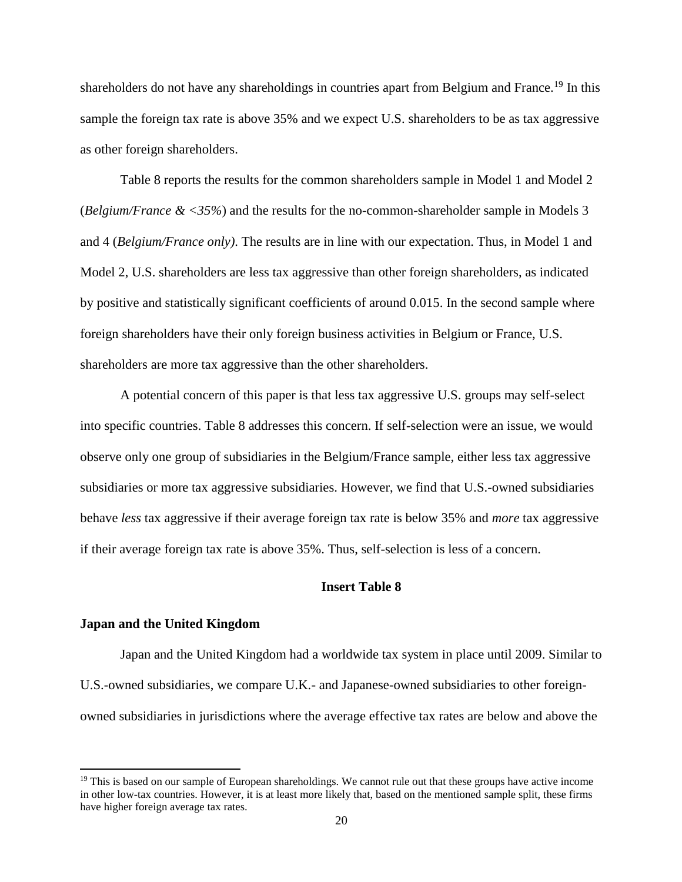shareholders do not have any shareholdings in countries apart from Belgium and France.<sup>19</sup> In this sample the foreign tax rate is above 35% and we expect U.S. shareholders to be as tax aggressive as other foreign shareholders.

Table 8 reports the results for the common shareholders sample in Model 1 and Model 2 (*Belgium/France & <35%*) and the results for the no-common-shareholder sample in Models 3 and 4 (*Belgium/France only)*. The results are in line with our expectation. Thus, in Model 1 and Model 2, U.S. shareholders are less tax aggressive than other foreign shareholders, as indicated by positive and statistically significant coefficients of around 0.015. In the second sample where foreign shareholders have their only foreign business activities in Belgium or France, U.S. shareholders are more tax aggressive than the other shareholders.

A potential concern of this paper is that less tax aggressive U.S. groups may self-select into specific countries. Table 8 addresses this concern. If self-selection were an issue, we would observe only one group of subsidiaries in the Belgium/France sample, either less tax aggressive subsidiaries or more tax aggressive subsidiaries. However, we find that U.S.-owned subsidiaries behave *less* tax aggressive if their average foreign tax rate is below 35% and *more* tax aggressive if their average foreign tax rate is above 35%. Thus, self-selection is less of a concern.

# **Insert Table 8**

# **Japan and the United Kingdom**

l

Japan and the United Kingdom had a worldwide tax system in place until 2009. Similar to U.S.-owned subsidiaries, we compare U.K.- and Japanese-owned subsidiaries to other foreignowned subsidiaries in jurisdictions where the average effective tax rates are below and above the

<sup>&</sup>lt;sup>19</sup> This is based on our sample of European shareholdings. We cannot rule out that these groups have active income in other low-tax countries. However, it is at least more likely that, based on the mentioned sample split, these firms have higher foreign average tax rates.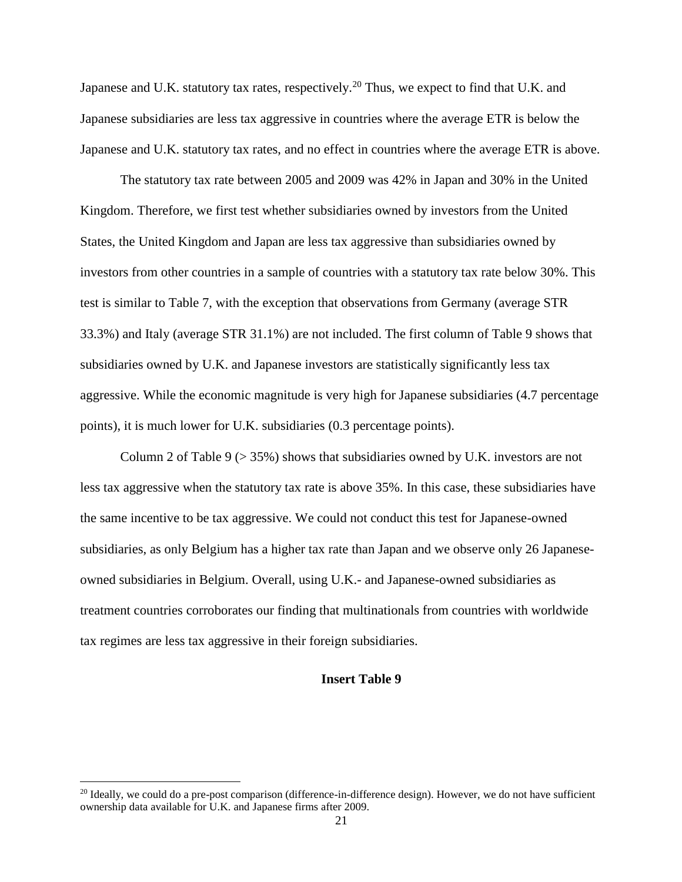Japanese and U.K. statutory tax rates, respectively.<sup>20</sup> Thus, we expect to find that U.K. and Japanese subsidiaries are less tax aggressive in countries where the average ETR is below the Japanese and U.K. statutory tax rates, and no effect in countries where the average ETR is above.

The statutory tax rate between 2005 and 2009 was 42% in Japan and 30% in the United Kingdom. Therefore, we first test whether subsidiaries owned by investors from the United States, the United Kingdom and Japan are less tax aggressive than subsidiaries owned by investors from other countries in a sample of countries with a statutory tax rate below 30%. This test is similar to Table 7, with the exception that observations from Germany (average STR 33.3%) and Italy (average STR 31.1%) are not included. The first column of Table 9 shows that subsidiaries owned by U.K. and Japanese investors are statistically significantly less tax aggressive. While the economic magnitude is very high for Japanese subsidiaries (4.7 percentage points), it is much lower for U.K. subsidiaries (0.3 percentage points).

Column 2 of Table 9 (> 35%) shows that subsidiaries owned by U.K. investors are not less tax aggressive when the statutory tax rate is above 35%. In this case, these subsidiaries have the same incentive to be tax aggressive. We could not conduct this test for Japanese-owned subsidiaries, as only Belgium has a higher tax rate than Japan and we observe only 26 Japaneseowned subsidiaries in Belgium. Overall, using U.K.- and Japanese-owned subsidiaries as treatment countries corroborates our finding that multinationals from countries with worldwide tax regimes are less tax aggressive in their foreign subsidiaries.

# **Insert Table 9**

 $\overline{a}$ 

<sup>&</sup>lt;sup>20</sup> Ideally, we could do a pre-post comparison (difference-in-difference design). However, we do not have sufficient ownership data available for U.K. and Japanese firms after 2009.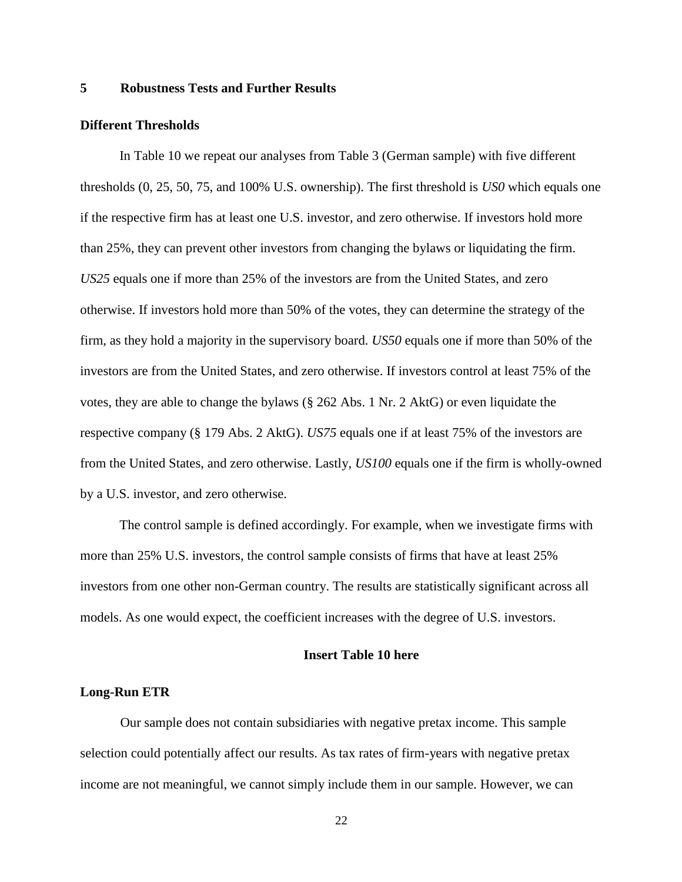# **5 Robustness Tests and Further Results**

#### **Different Thresholds**

In Table 10 we repeat our analyses from Table 3 (German sample) with five different thresholds (0, 25, 50, 75, and 100% U.S. ownership). The first threshold is *US0* which equals one if the respective firm has at least one U.S. investor, and zero otherwise. If investors hold more than 25%, they can prevent other investors from changing the bylaws or liquidating the firm. *US25* equals one if more than 25% of the investors are from the United States, and zero otherwise. If investors hold more than 50% of the votes, they can determine the strategy of the firm, as they hold a majority in the supervisory board. *US50* equals one if more than 50% of the investors are from the United States, and zero otherwise. If investors control at least 75% of the votes, they are able to change the bylaws (§ 262 Abs. 1 Nr. 2 AktG) or even liquidate the respective company (§ 179 Abs. 2 AktG). *US75* equals one if at least 75% of the investors are from the United States, and zero otherwise. Lastly, *US100* equals one if the firm is wholly-owned by a U.S. investor, and zero otherwise.

The control sample is defined accordingly. For example, when we investigate firms with more than 25% U.S. investors, the control sample consists of firms that have at least 25% investors from one other non-German country. The results are statistically significant across all models. As one would expect, the coefficient increases with the degree of U.S. investors.

# **Insert Table 10 here**

# **Long-Run ETR**

Our sample does not contain subsidiaries with negative pretax income. This sample selection could potentially affect our results. As tax rates of firm-years with negative pretax income are not meaningful, we cannot simply include them in our sample. However, we can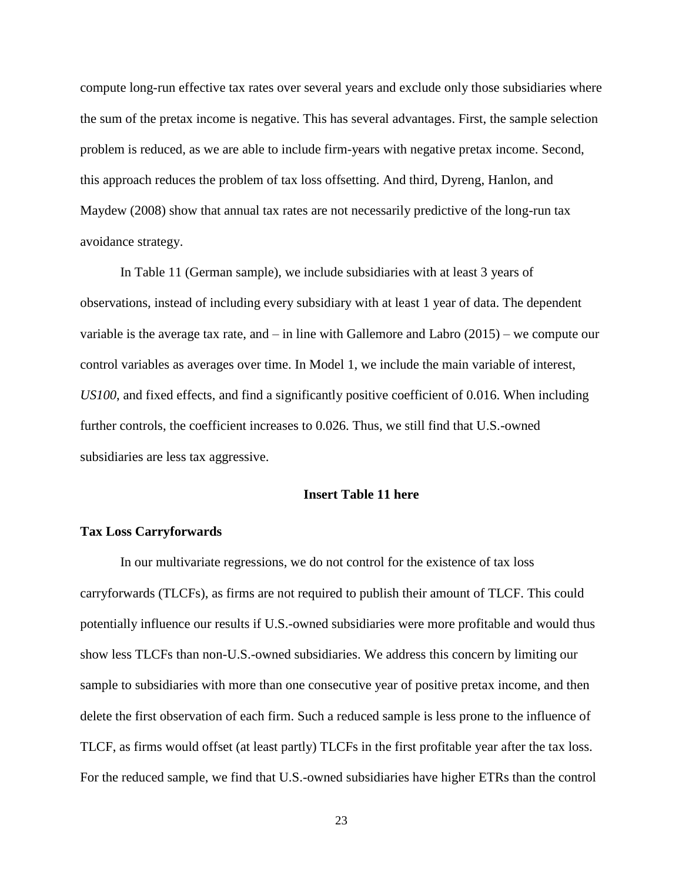compute long-run effective tax rates over several years and exclude only those subsidiaries where the sum of the pretax income is negative. This has several advantages. First, the sample selection problem is reduced, as we are able to include firm-years with negative pretax income. Second, this approach reduces the problem of tax loss offsetting. And third, Dyreng, Hanlon, and Maydew (2008) show that annual tax rates are not necessarily predictive of the long-run tax avoidance strategy.

In Table 11 (German sample), we include subsidiaries with at least 3 years of observations, instead of including every subsidiary with at least 1 year of data. The dependent variable is the average tax rate, and – in line with Gallemore and Labro (2015) – we compute our control variables as averages over time. In Model 1, we include the main variable of interest, *US100*, and fixed effects, and find a significantly positive coefficient of 0.016. When including further controls, the coefficient increases to 0.026. Thus, we still find that U.S.-owned subsidiaries are less tax aggressive.

## **Insert Table 11 here**

#### **Tax Loss Carryforwards**

In our multivariate regressions, we do not control for the existence of tax loss carryforwards (TLCFs), as firms are not required to publish their amount of TLCF. This could potentially influence our results if U.S.-owned subsidiaries were more profitable and would thus show less TLCFs than non-U.S.-owned subsidiaries. We address this concern by limiting our sample to subsidiaries with more than one consecutive year of positive pretax income, and then delete the first observation of each firm. Such a reduced sample is less prone to the influence of TLCF, as firms would offset (at least partly) TLCFs in the first profitable year after the tax loss. For the reduced sample, we find that U.S.-owned subsidiaries have higher ETRs than the control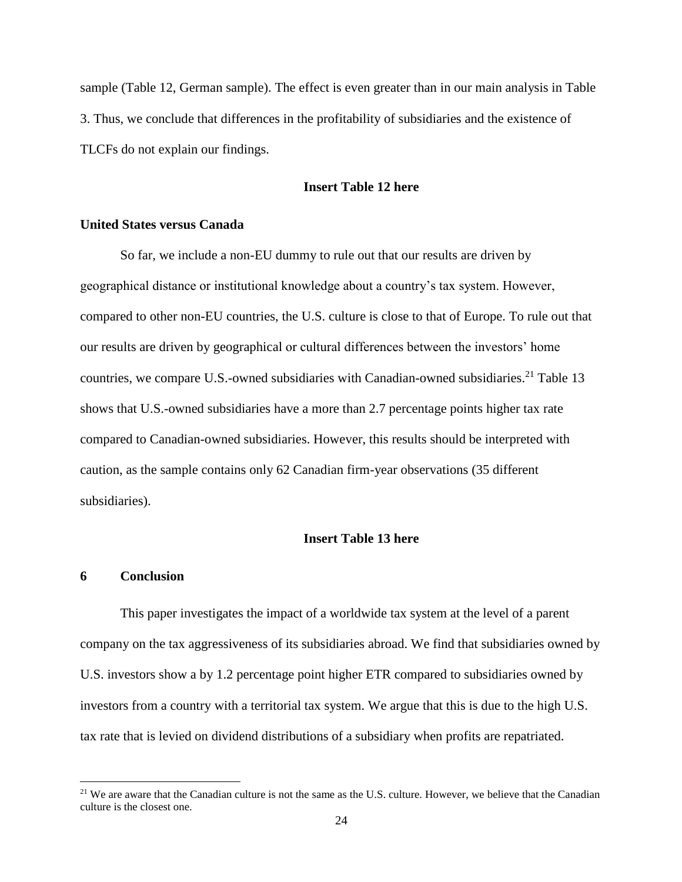sample (Table 12, German sample). The effect is even greater than in our main analysis in Table 3. Thus, we conclude that differences in the profitability of subsidiaries and the existence of TLCFs do not explain our findings.

# **Insert Table 12 here**

# **United States versus Canada**

So far, we include a non-EU dummy to rule out that our results are driven by geographical distance or institutional knowledge about a country's tax system. However, compared to other non-EU countries, the U.S. culture is close to that of Europe. To rule out that our results are driven by geographical or cultural differences between the investors' home countries, we compare U.S.-owned subsidiaries with Canadian-owned subsidiaries.<sup>21</sup> Table 13 shows that U.S.-owned subsidiaries have a more than 2.7 percentage points higher tax rate compared to Canadian-owned subsidiaries. However, this results should be interpreted with caution, as the sample contains only 62 Canadian firm-year observations (35 different subsidiaries).

# **Insert Table 13 here**

# **6 Conclusion**

 $\overline{a}$ 

This paper investigates the impact of a worldwide tax system at the level of a parent company on the tax aggressiveness of its subsidiaries abroad. We find that subsidiaries owned by U.S. investors show a by 1.2 percentage point higher ETR compared to subsidiaries owned by investors from a country with a territorial tax system. We argue that this is due to the high U.S. tax rate that is levied on dividend distributions of a subsidiary when profits are repatriated.

<sup>&</sup>lt;sup>21</sup> We are aware that the Canadian culture is not the same as the U.S. culture. However, we believe that the Canadian culture is the closest one.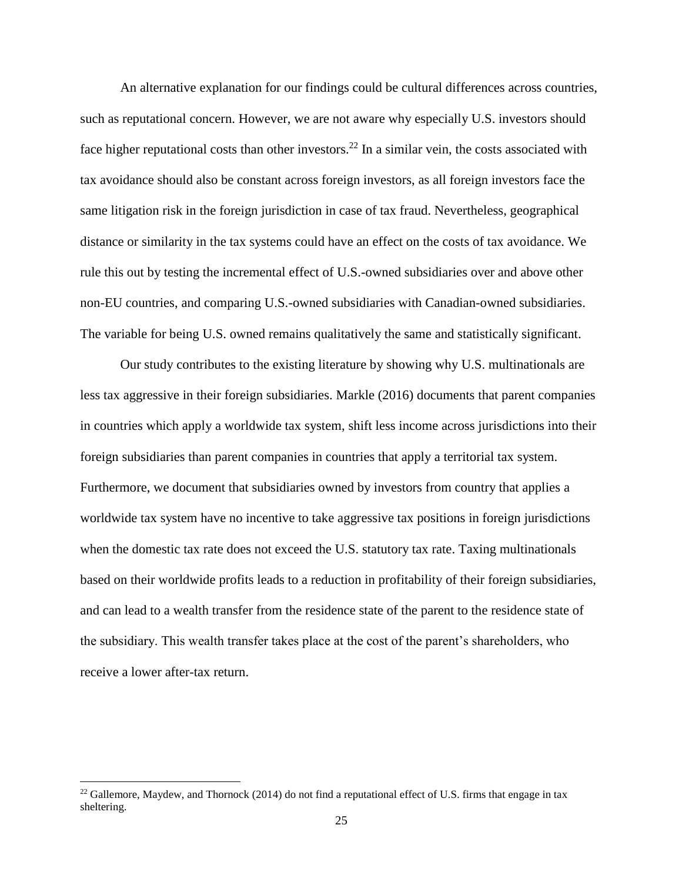An alternative explanation for our findings could be cultural differences across countries, such as reputational concern. However, we are not aware why especially U.S. investors should face higher reputational costs than other investors.<sup>22</sup> In a similar vein, the costs associated with tax avoidance should also be constant across foreign investors, as all foreign investors face the same litigation risk in the foreign jurisdiction in case of tax fraud. Nevertheless, geographical distance or similarity in the tax systems could have an effect on the costs of tax avoidance. We rule this out by testing the incremental effect of U.S.-owned subsidiaries over and above other non-EU countries, and comparing U.S.-owned subsidiaries with Canadian-owned subsidiaries. The variable for being U.S. owned remains qualitatively the same and statistically significant.

Our study contributes to the existing literature by showing why U.S. multinationals are less tax aggressive in their foreign subsidiaries. Markle (2016) documents that parent companies in countries which apply a worldwide tax system, shift less income across jurisdictions into their foreign subsidiaries than parent companies in countries that apply a territorial tax system. Furthermore, we document that subsidiaries owned by investors from country that applies a worldwide tax system have no incentive to take aggressive tax positions in foreign jurisdictions when the domestic tax rate does not exceed the U.S. statutory tax rate. Taxing multinationals based on their worldwide profits leads to a reduction in profitability of their foreign subsidiaries, and can lead to a wealth transfer from the residence state of the parent to the residence state of the subsidiary. This wealth transfer takes place at the cost of the parent's shareholders, who receive a lower after-tax return.

 $\overline{a}$ 

<sup>&</sup>lt;sup>22</sup> Gallemore, Maydew, and Thornock (2014) do not find a reputational effect of U.S. firms that engage in tax sheltering.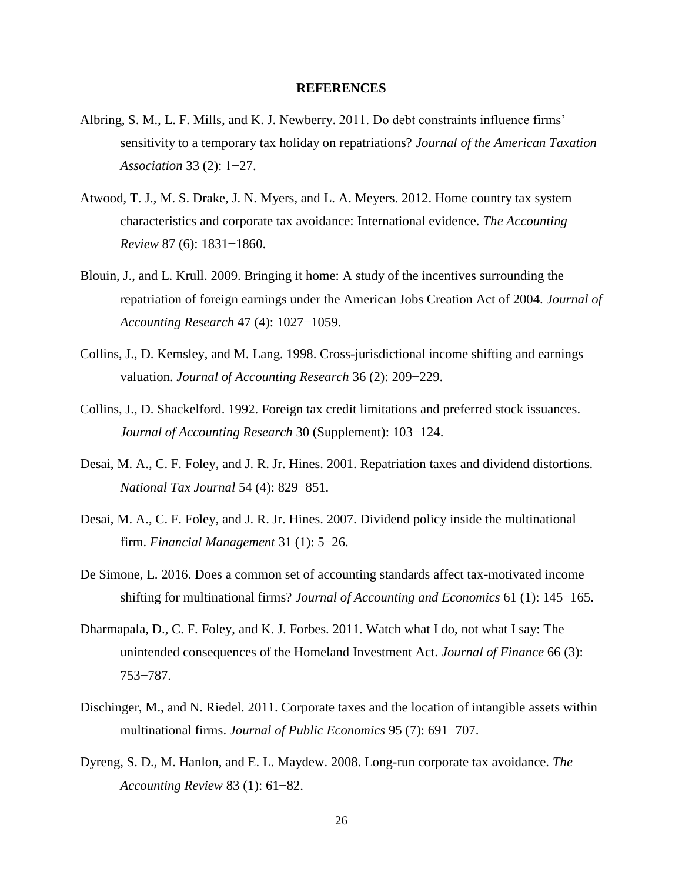# **REFERENCES**

- Albring, S. M., L. F. Mills, and K. J. Newberry. 2011. Do debt constraints influence firms' sensitivity to a temporary tax holiday on repatriations? *Journal of the American Taxation Association* 33 (2): 1−27.
- Atwood, T. J., M. S. Drake, J. N. Myers, and L. A. Meyers. 2012. Home country tax system characteristics and corporate tax avoidance: International evidence. *The Accounting Review* 87 (6): 1831−1860.
- Blouin, J., and L. Krull. 2009. Bringing it home: A study of the incentives surrounding the repatriation of foreign earnings under the American Jobs Creation Act of 2004. *Journal of Accounting Research* 47 (4): 1027−1059.
- Collins, J., D. Kemsley, and M. Lang. 1998. Cross-jurisdictional income shifting and earnings valuation. *Journal of Accounting Research* 36 (2): 209−229.
- Collins, J., D. Shackelford. 1992. Foreign tax credit limitations and preferred stock issuances. *Journal of Accounting Research* 30 (Supplement): 103−124.
- Desai, M. A., C. F. Foley, and J. R. Jr. Hines. 2001. Repatriation taxes and dividend distortions. *National Tax Journal* 54 (4): 829−851.
- Desai, M. A., C. F. Foley, and J. R. Jr. Hines. 2007. Dividend policy inside the multinational firm. *Financial Management* 31 (1): 5−26.
- De Simone, L. 2016. Does a common set of accounting standards affect tax-motivated income shifting for multinational firms? *Journal of Accounting and Economics* 61 (1): 145−165.
- Dharmapala, D., C. F. Foley, and K. J. Forbes. 2011. Watch what I do, not what I say: The unintended consequences of the Homeland Investment Act. *Journal of Finance* 66 (3): 753−787.
- Dischinger, M., and N. Riedel. 2011. Corporate taxes and the location of intangible assets within multinational firms. *Journal of Public Economics* 95 (7): 691−707.
- Dyreng, S. D., M. Hanlon, and E. L. Maydew. 2008. Long-run corporate tax avoidance. *The Accounting Review* 83 (1): 61−82.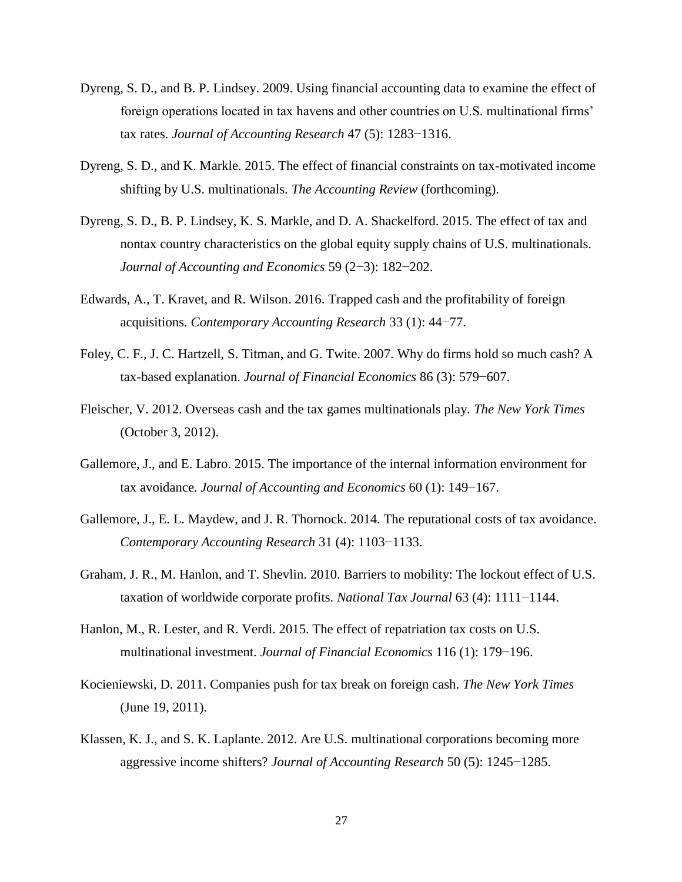- Dyreng, S. D., and B. P. Lindsey. 2009. Using financial accounting data to examine the effect of foreign operations located in tax havens and other countries on U.S. multinational firms' tax rates. *Journal of Accounting Research* 47 (5): 1283−1316.
- Dyreng, S. D., and K. Markle. 2015. The effect of financial constraints on tax-motivated income shifting by U.S. multinationals. *The Accounting Review* (forthcoming).
- Dyreng, S. D., B. P. Lindsey, K. S. Markle, and D. A. Shackelford. 2015. The effect of tax and nontax country characteristics on the global equity supply chains of U.S. multinationals. *Journal of Accounting and Economics* 59 (2−3): 182−202.
- Edwards, A., T. Kravet, and R. Wilson. 2016. Trapped cash and the profitability of foreign acquisitions. *Contemporary Accounting Research* 33 (1): 44−77.
- Foley, C. F., J. C. Hartzell, S. Titman, and G. Twite. 2007. Why do firms hold so much cash? A tax-based explanation. *Journal of Financial Economics* 86 (3): 579−607.
- Fleischer, V. 2012. Overseas cash and the tax games multinationals play. *The New York Times* (October 3, 2012).
- Gallemore, J., and E. Labro. 2015. The importance of the internal information environment for tax avoidance. *Journal of Accounting and Economics* 60 (1): 149−167.
- Gallemore, J., E. L. Maydew, and J. R. Thornock. 2014. The reputational costs of tax avoidance. *Contemporary Accounting Research* 31 (4): 1103−1133.
- Graham, J. R., M. Hanlon, and T. Shevlin. 2010. Barriers to mobility: The lockout effect of U.S. taxation of worldwide corporate profits. *National Tax Journal* 63 (4): 1111−1144.
- Hanlon, M., R. Lester, and R. Verdi. 2015. The effect of repatriation tax costs on U.S. multinational investment. *Journal of Financial Economics* 116 (1): 179−196.
- Kocieniewski, D. 2011. Companies push for tax break on foreign cash. *The New York Times*  (June 19, 2011).
- Klassen, K. J., and S. K. Laplante. 2012. Are U.S. multinational corporations becoming more aggressive income shifters? *Journal of Accounting Research* 50 (5): 1245−1285.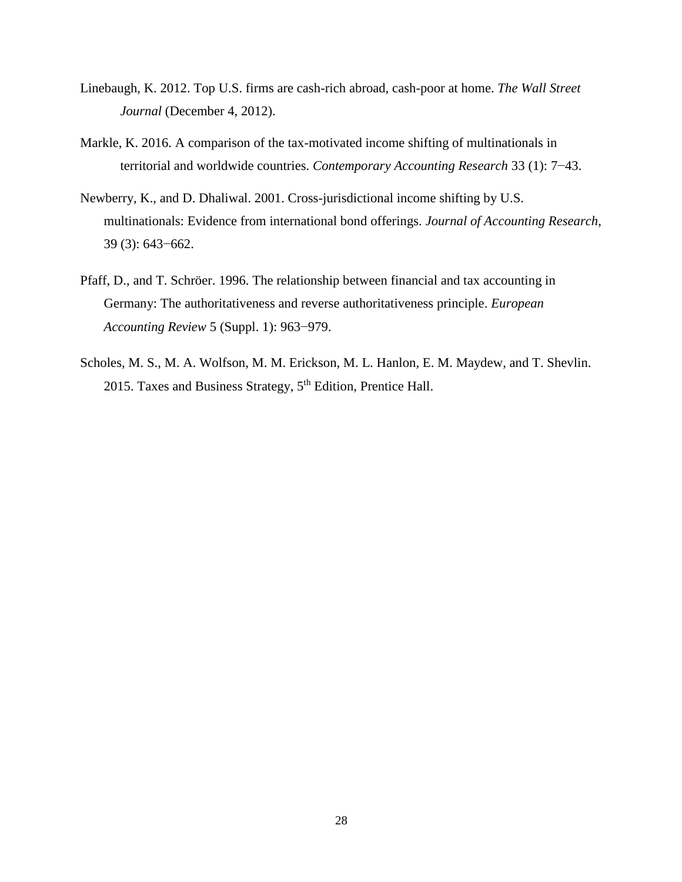- Linebaugh, K. 2012. Top U.S. firms are cash-rich abroad, cash-poor at home. *The Wall Street Journal* (December 4, 2012).
- Markle, K. 2016. A comparison of the tax-motivated income shifting of multinationals in territorial and worldwide countries. *Contemporary Accounting Research* 33 (1): 7−43.
- Newberry, K., and D. Dhaliwal. 2001. Cross-jurisdictional income shifting by U.S. multinationals: Evidence from international bond offerings. *Journal of Accounting Research*, 39 (3): 643−662.
- Pfaff, D., and T. Schröer. 1996. The relationship between financial and tax accounting in Germany: The authoritativeness and reverse authoritativeness principle. *European Accounting Review* 5 (Suppl. 1): 963−979.
- Scholes, M. S., M. A. Wolfson, M. M. Erickson, M. L. Hanlon, E. M. Maydew, and T. Shevlin. 2015. Taxes and Business Strategy, 5<sup>th</sup> Edition, Prentice Hall.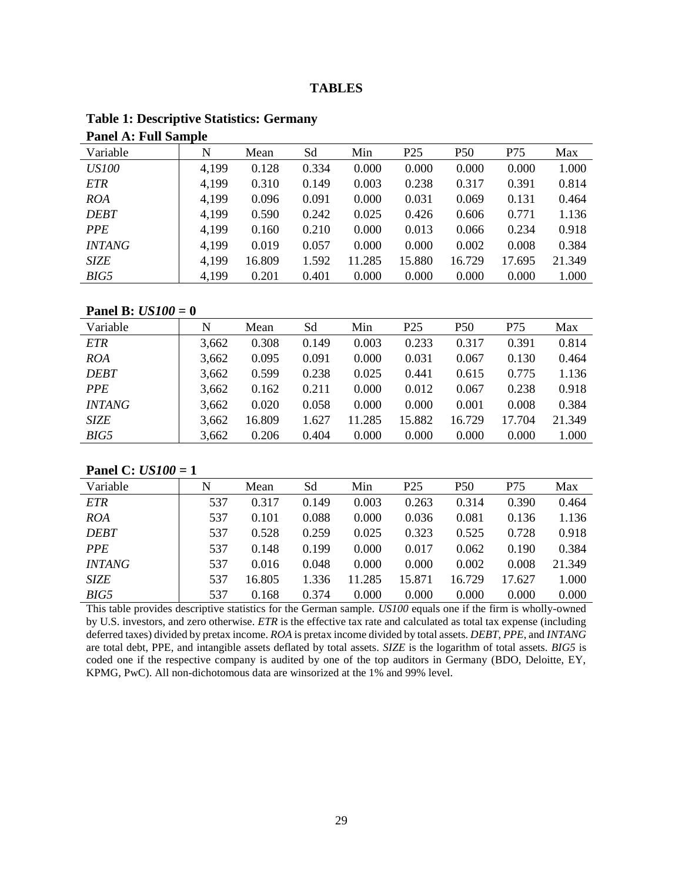# **TABLES**

| Panel A: Full Sample |       |        |       |        |                 |                 |        |        |  |
|----------------------|-------|--------|-------|--------|-----------------|-----------------|--------|--------|--|
| Variable             | N     | Mean   | Sd    | Min    | P <sub>25</sub> | P <sub>50</sub> | P75    | Max    |  |
| <i>US100</i>         | 4,199 | 0.128  | 0.334 | 0.000  | 0.000           | 0.000           | 0.000  | 1.000  |  |
| <b>ETR</b>           | 4,199 | 0.310  | 0.149 | 0.003  | 0.238           | 0.317           | 0.391  | 0.814  |  |
| <b>ROA</b>           | 4,199 | 0.096  | 0.091 | 0.000  | 0.031           | 0.069           | 0.131  | 0.464  |  |
| <b>DEBT</b>          | 4,199 | 0.590  | 0.242 | 0.025  | 0.426           | 0.606           | 0.771  | 1.136  |  |
| <i>PPE</i>           | 4,199 | 0.160  | 0.210 | 0.000  | 0.013           | 0.066           | 0.234  | 0.918  |  |
| <i><b>INTANG</b></i> | 4,199 | 0.019  | 0.057 | 0.000  | 0.000           | 0.002           | 0.008  | 0.384  |  |
| <b>SIZE</b>          | 4,199 | 16.809 | 1.592 | 11.285 | 15.880          | 16.729          | 17.695 | 21.349 |  |
| BIG5                 | 4,199 | 0.201  | 0.401 | 0.000  | 0.000           | 0.000           | 0.000  | 1.000  |  |

#### **Table 1: Descriptive Statistics: Germany Panel A: Full Sample**

# **Panel B:** *US100* **= 0**

| Variable             | N     | Mean   | Sd    | Min    | P <sub>25</sub> | P <sub>50</sub> | P75    | Max    |
|----------------------|-------|--------|-------|--------|-----------------|-----------------|--------|--------|
| <b>ETR</b>           | 3,662 | 0.308  | 0.149 | 0.003  | 0.233           | 0.317           | 0.391  | 0.814  |
| <b>ROA</b>           | 3,662 | 0.095  | 0.091 | 0.000  | 0.031           | 0.067           | 0.130  | 0.464  |
| <b>DEBT</b>          | 3,662 | 0.599  | 0.238 | 0.025  | 0.441           | 0.615           | 0.775  | 1.136  |
| <b>PPE</b>           | 3,662 | 0.162  | 0.211 | 0.000  | 0.012           | 0.067           | 0.238  | 0.918  |
| <i><b>INTANG</b></i> | 3,662 | 0.020  | 0.058 | 0.000  | 0.000           | 0.001           | 0.008  | 0.384  |
| <b>SIZE</b>          | 3,662 | 16.809 | 1.627 | 11.285 | 15.882          | 16.729          | 17.704 | 21.349 |
| BIG5                 | 3,662 | 0.206  | 0.404 | 0.000  | 0.000           | 0.000           | 0.000  | 1.000  |

# **Panel C:** *US100* **= 1**

| Variable      | N   | Mean   | Sd    | Min    | P <sub>25</sub> | P50    | P75    | Max    |
|---------------|-----|--------|-------|--------|-----------------|--------|--------|--------|
| <b>ETR</b>    | 537 | 0.317  | 0.149 | 0.003  | 0.263           | 0.314  | 0.390  | 0.464  |
| <b>ROA</b>    | 537 | 0.101  | 0.088 | 0.000  | 0.036           | 0.081  | 0.136  | 1.136  |
| <b>DEBT</b>   | 537 | 0.528  | 0.259 | 0.025  | 0.323           | 0.525  | 0.728  | 0.918  |
| <b>PPE</b>    | 537 | 0.148  | 0.199 | 0.000  | 0.017           | 0.062  | 0.190  | 0.384  |
| <b>INTANG</b> | 537 | 0.016  | 0.048 | 0.000  | 0.000           | 0.002  | 0.008  | 21.349 |
| <b>SIZE</b>   | 537 | 16.805 | 1.336 | 11.285 | 15.871          | 16.729 | 17.627 | 1.000  |
| BIG5          | 537 | 0.168  | 0.374 | 0.000  | 0.000           | 0.000  | 0.000  | 0.000  |

This table provides descriptive statistics for the German sample. *US100* equals one if the firm is wholly-owned by U.S. investors, and zero otherwise. *ETR* is the effective tax rate and calculated as total tax expense (including deferred taxes) divided by pretax income. *ROA* is pretax income divided by total assets. *DEBT*, *PPE*, and *INTANG* are total debt, PPE, and intangible assets deflated by total assets. *SIZE* is the logarithm of total assets. *BIG5* is coded one if the respective company is audited by one of the top auditors in Germany (BDO, Deloitte, EY, KPMG, PwC). All non-dichotomous data are winsorized at the 1% and 99% level.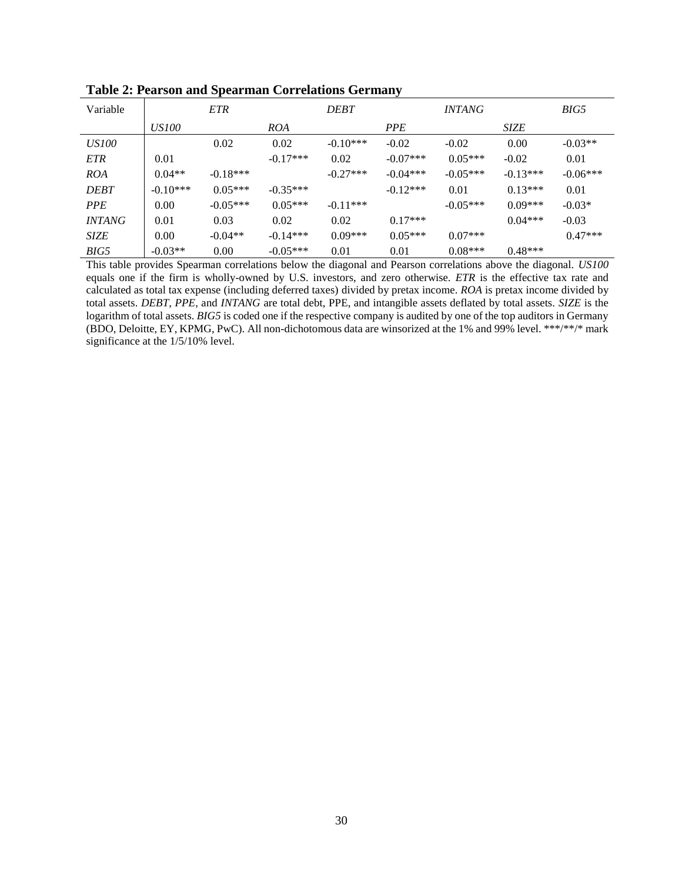| Variable             |              | <b>ETR</b> |            | <b>DEBT</b> |            | <i><b>INTANG</b></i> |             | BIG5       |
|----------------------|--------------|------------|------------|-------------|------------|----------------------|-------------|------------|
|                      | <i>US100</i> |            | <i>ROA</i> |             | <b>PPE</b> |                      | <b>SIZE</b> |            |
| <i>US100</i>         |              | 0.02       | 0.02       | $-0.10***$  | $-0.02$    | $-0.02$              | 0.00        | $-0.03**$  |
| <b>ETR</b>           | 0.01         |            | $-0.17***$ | 0.02        | $-0.07***$ | $0.05***$            | $-0.02$     | 0.01       |
| <i>ROA</i>           | $0.04**$     | $-0.18***$ |            | $-0.27***$  | $-0.04***$ | $-0.05***$           | $-0.13***$  | $-0.06***$ |
| <b>DEBT</b>          | $-0.10***$   | $0.05***$  | $-0.35***$ |             | $-0.12***$ | 0.01                 | $0.13***$   | 0.01       |
| <b>PPE</b>           | 0.00         | $-0.05***$ | $0.05***$  | $-0.11***$  |            | $-0.05***$           | $0.09***$   | $-0.03*$   |
| <i><b>INTANG</b></i> | 0.01         | 0.03       | 0.02       | 0.02        | $0.17***$  |                      | $0.04***$   | $-0.03$    |
| <b>SIZE</b>          | 0.00         | $-0.04**$  | $-0.14***$ | $0.09***$   | $0.05***$  | $0.07***$            |             | $0.47***$  |
| BIG5                 | $-0.03**$    | 0.00       | $-0.05***$ | 0.01        | 0.01       | $0.08***$            | $0.48***$   |            |

**Table 2: Pearson and Spearman Correlations Germany**

This table provides Spearman correlations below the diagonal and Pearson correlations above the diagonal. *US100* equals one if the firm is wholly-owned by U.S. investors, and zero otherwise. *ETR* is the effective tax rate and calculated as total tax expense (including deferred taxes) divided by pretax income. *ROA* is pretax income divided by total assets. *DEBT*, *PPE*, and *INTANG* are total debt, PPE, and intangible assets deflated by total assets. *SIZE* is the logarithm of total assets. *BIG5* is coded one if the respective company is audited by one of the top auditors in Germany (BDO, Deloitte, EY, KPMG, PwC). All non-dichotomous data are winsorized at the 1% and 99% level. \*\*\*/\*\*/\* mark significance at the 1/5/10% level.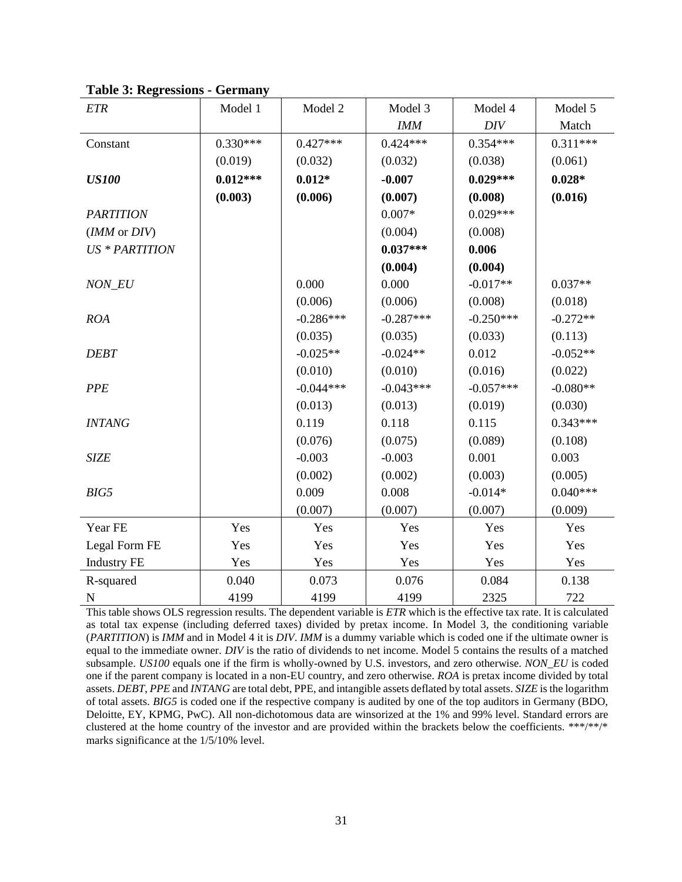| <b>ETR</b>            | Model 1    | Model 2     | Model 3     | Model 4     | Model 5    |
|-----------------------|------------|-------------|-------------|-------------|------------|
|                       |            |             | <b>IMM</b>  | DIV         | Match      |
| Constant              | $0.330***$ | $0.427***$  | $0.424***$  | $0.354***$  | $0.311***$ |
|                       | (0.019)    | (0.032)     | (0.032)     | (0.038)     | (0.061)    |
| <b>US100</b>          | $0.012***$ | $0.012*$    | $-0.007$    | $0.029***$  | $0.028*$   |
|                       | (0.003)    | (0.006)     | (0.007)     | (0.008)     | (0.016)    |
| <b>PARTITION</b>      |            |             | $0.007*$    | $0.029***$  |            |
| (IMM or DIV)          |            |             | (0.004)     | (0.008)     |            |
| <b>US * PARTITION</b> |            |             | $0.037***$  | 0.006       |            |
|                       |            |             | (0.004)     | (0.004)     |            |
| NON_EU                |            | 0.000       | 0.000       | $-0.017**$  | $0.037**$  |
|                       |            | (0.006)     | (0.006)     | (0.008)     | (0.018)    |
| <b>ROA</b>            |            | $-0.286***$ | $-0.287***$ | $-0.250***$ | $-0.272**$ |
|                       |            | (0.035)     | (0.035)     | (0.033)     | (0.113)    |
| <b>DEBT</b>           |            | $-0.025**$  | $-0.024**$  | 0.012       | $-0.052**$ |
|                       |            | (0.010)     | (0.010)     | (0.016)     | (0.022)    |
| <b>PPE</b>            |            | $-0.044***$ | $-0.043***$ | $-0.057***$ | $-0.080**$ |
|                       |            | (0.013)     | (0.013)     | (0.019)     | (0.030)    |
| <b>INTANG</b>         |            | 0.119       | 0.118       | 0.115       | $0.343***$ |
|                       |            | (0.076)     | (0.075)     | (0.089)     | (0.108)    |
| <b>SIZE</b>           |            | $-0.003$    | $-0.003$    | 0.001       | 0.003      |
|                       |            | (0.002)     | (0.002)     | (0.003)     | (0.005)    |
| BIG5                  |            | 0.009       | 0.008       | $-0.014*$   | $0.040***$ |
|                       |            | (0.007)     | (0.007)     | (0.007)     | (0.009)    |
| Year FE               | Yes        | Yes         | Yes         | Yes         | Yes        |
| Legal Form FE         | Yes        | Yes         | Yes         | Yes         | Yes        |
| <b>Industry FE</b>    | Yes        | Yes         | Yes         | Yes         | Yes        |
| R-squared             | 0.040      | 0.073       | 0.076       | 0.084       | 0.138      |
| $\mathbf N$           | 4199       | 4199        | 4199        | 2325        | 722        |

**Table 3: Regressions - Germany**

This table shows OLS regression results. The dependent variable is *ETR* which is the effective tax rate. It is calculated as total tax expense (including deferred taxes) divided by pretax income. In Model 3, the conditioning variable (*PARTITION*) is *IMM* and in Model 4 it is *DIV*. *IMM* is a dummy variable which is coded one if the ultimate owner is equal to the immediate owner. *DIV* is the ratio of dividends to net income. Model 5 contains the results of a matched subsample. *US100* equals one if the firm is wholly-owned by U.S. investors, and zero otherwise. *NON\_EU* is coded one if the parent company is located in a non-EU country, and zero otherwise. *ROA* is pretax income divided by total assets. *DEBT*, *PPE* and *INTANG* are total debt, PPE, and intangible assets deflated by total assets. *SIZE* is the logarithm of total assets. *BIG5* is coded one if the respective company is audited by one of the top auditors in Germany (BDO, Deloitte, EY, KPMG, PwC). All non-dichotomous data are winsorized at the 1% and 99% level. Standard errors are clustered at the home country of the investor and are provided within the brackets below the coefficients. \*\*\*/\*\*/\* marks significance at the 1/5/10% level.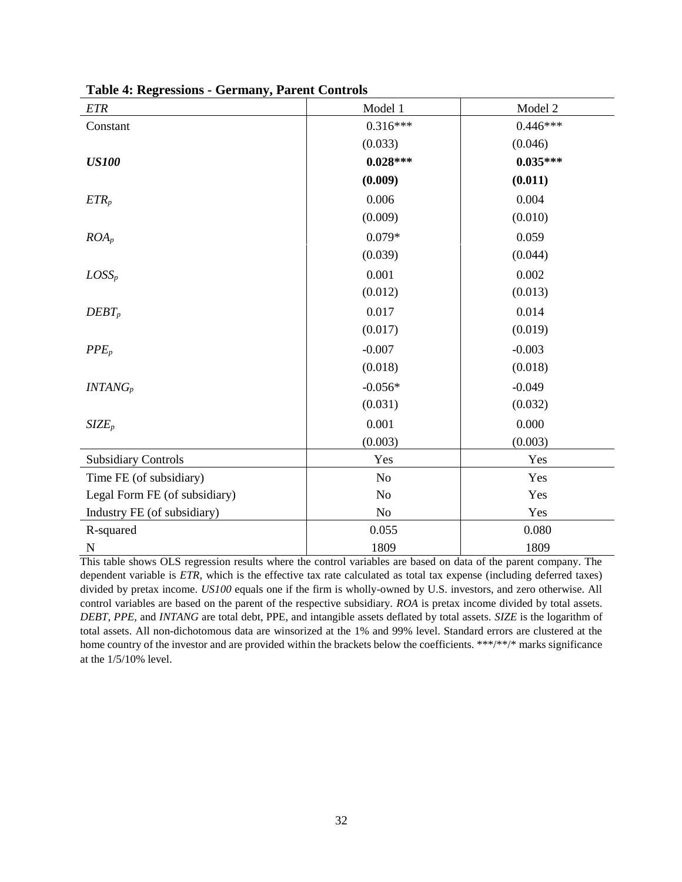| $ETR$                         | Model 1        | Model 2    |
|-------------------------------|----------------|------------|
| Constant                      | $0.316***$     | $0.446***$ |
|                               | (0.033)        | (0.046)    |
| <b>US100</b>                  | $0.028***$     | $0.035***$ |
|                               | (0.009)        | (0.011)    |
| $ETR_p$                       | 0.006          | 0.004      |
|                               | (0.009)        | (0.010)    |
| $ROA_p$                       | $0.079*$       | 0.059      |
|                               | (0.039)        | (0.044)    |
| $LOSS_p$                      | 0.001          | 0.002      |
|                               | (0.012)        | (0.013)    |
| $DEBT_p$                      | 0.017          | 0.014      |
|                               | (0.017)        | (0.019)    |
| $PPE_p$                       | $-0.007$       | $-0.003$   |
|                               | (0.018)        | (0.018)    |
| $INTANG_p$                    | $-0.056*$      | $-0.049$   |
|                               | (0.031)        | (0.032)    |
| SIZE <sub>p</sub>             | 0.001          | 0.000      |
|                               | (0.003)        | (0.003)    |
| <b>Subsidiary Controls</b>    | Yes            | Yes        |
| Time FE (of subsidiary)       | N <sub>o</sub> | Yes        |
| Legal Form FE (of subsidiary) | N <sub>o</sub> | Yes        |
| Industry FE (of subsidiary)   | No             | Yes        |
| R-squared                     | 0.055          | 0.080      |
| N                             | 1809           | 1809       |

**Table 4: Regressions - Germany, Parent Controls**

This table shows OLS regression results where the control variables are based on data of the parent company. The dependent variable is *ETR*, which is the effective tax rate calculated as total tax expense (including deferred taxes) divided by pretax income. *US100* equals one if the firm is wholly-owned by U.S. investors, and zero otherwise. All control variables are based on the parent of the respective subsidiary. *ROA* is pretax income divided by total assets. *DEBT*, *PPE*, and *INTANG* are total debt, PPE, and intangible assets deflated by total assets. *SIZE* is the logarithm of total assets. All non-dichotomous data are winsorized at the 1% and 99% level. Standard errors are clustered at the home country of the investor and are provided within the brackets below the coefficients. \*\*\*/\*\*/\* marks significance at the 1/5/10% level.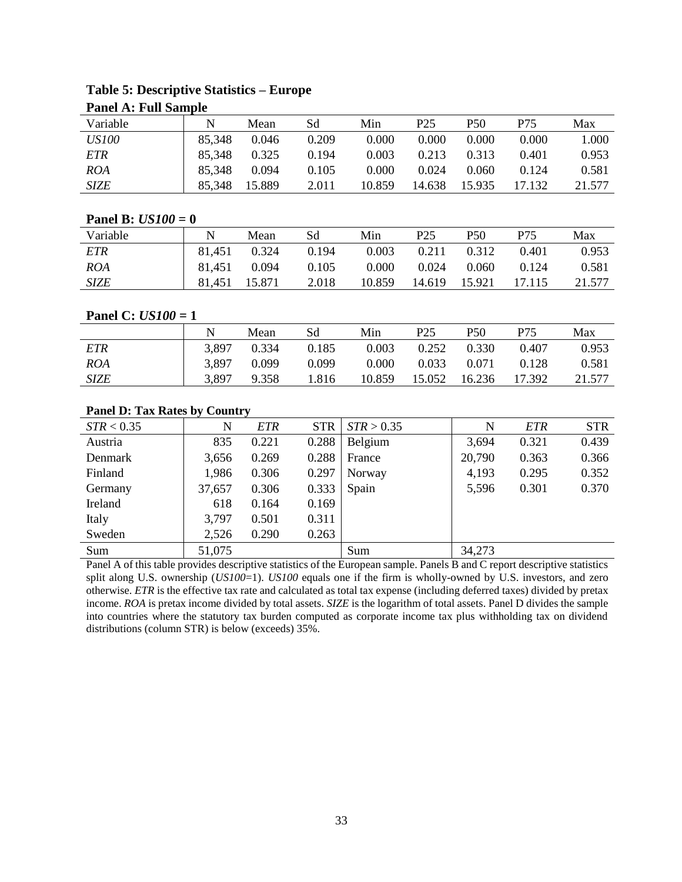| <b>Panel A: Full Sample</b>          |             |                                                                                                                            |            |            |                 |                 |            |            |  |  |
|--------------------------------------|-------------|----------------------------------------------------------------------------------------------------------------------------|------------|------------|-----------------|-----------------|------------|------------|--|--|
| Variable                             | $\mathbf N$ | Mean                                                                                                                       | Sd         | Min        | P <sub>25</sub> | P <sub>50</sub> | P75        | Max        |  |  |
| <b>US100</b>                         | 85,348      | 0.046                                                                                                                      | 0.209      | 0.000      | 0.000           | 0.000           | 0.000      | 1.000      |  |  |
| <b>ETR</b>                           | 85,348      | 0.325                                                                                                                      | 0.194      | 0.003      | 0.213           | 0.313           | 0.401      | 0.953      |  |  |
| <b>ROA</b>                           | 85,348      | 0.094                                                                                                                      | 0.105      | 0.000      | 0.024           | 0.060           | 0.124      | 0.581      |  |  |
| <b>SIZE</b>                          | 85,348      | 15.889                                                                                                                     | 2.011      | 10.859     | 14.638          | 15.935          | 17.132     | 21.577     |  |  |
|                                      |             |                                                                                                                            |            |            |                 |                 |            |            |  |  |
| Panel B: $US100 = 0$                 |             |                                                                                                                            |            |            |                 |                 |            |            |  |  |
| Variable                             | $\mathbf N$ | Mean                                                                                                                       | Sd         | Min        | P <sub>25</sub> | P <sub>50</sub> | P75        | Max        |  |  |
| <b>ETR</b>                           | 81,451      | 0.324                                                                                                                      | 0.194      | 0.003      | 0.211           | 0.312           | 0.401      | 0.953      |  |  |
| <b>ROA</b>                           | 81,451      | 0.094                                                                                                                      | 0.105      | 0.000      | 0.024           | 0.060           | 0.124      | 0.581      |  |  |
| <b>SIZE</b>                          | 81,451      | 15.871                                                                                                                     | 2.018      | 10.859     | 14.619          | 15.921          | 17.115     | 21.577     |  |  |
|                                      |             |                                                                                                                            |            |            |                 |                 |            |            |  |  |
| Panel C: $US100 = 1$                 |             |                                                                                                                            |            |            |                 |                 |            |            |  |  |
|                                      | $\mathbf N$ | Mean                                                                                                                       | Sd         | Min        | P <sub>25</sub> | P <sub>50</sub> | P75        | Max        |  |  |
| <b>ETR</b>                           | 3,897       | 0.334                                                                                                                      | 0.185      | 0.003      | 0.252           | 0.330           | 0.407      | 0.953      |  |  |
| <b>ROA</b>                           | 3,897       | 0.099                                                                                                                      | 0.099      | 0.000      | 0.033           | 0.071           | 0.128      | 0.581      |  |  |
| <b>SIZE</b>                          | 3,897       | 9.358                                                                                                                      | 1.816      | 10.859     | 15.052          | 16.236          | 17.392     | 21.577     |  |  |
|                                      |             |                                                                                                                            |            |            |                 |                 |            |            |  |  |
| <b>Panel D: Tax Rates by Country</b> |             |                                                                                                                            |            |            |                 |                 |            |            |  |  |
| STR < 0.35                           | $\mathbf N$ | <b>ETR</b>                                                                                                                 | <b>STR</b> | STR > 0.35 |                 | $\mathbf N$     | <b>ETR</b> | <b>STR</b> |  |  |
| Austria                              | 835         | 0.221                                                                                                                      | 0.288      | Belgium    |                 | 3,694           | 0.321      | 0.439      |  |  |
| Denmark                              | 3,656       | 0.269                                                                                                                      | 0.288      | France     |                 | 20,790          | 0.363      | 0.366      |  |  |
| Finland                              | 1,986       | 0.306                                                                                                                      | 0.297      | Norway     |                 | 4,193           | 0.295      | 0.352      |  |  |
| Germany                              | 37,657      | 0.306                                                                                                                      | 0.333      | Spain      |                 | 5,596           | 0.301      | 0.370      |  |  |
| Ireland                              | 618         | 0.164                                                                                                                      | 0.169      |            |                 |                 |            |            |  |  |
| Italy                                | 3,797       | 0.501                                                                                                                      | 0.311      |            |                 |                 |            |            |  |  |
| Sweden                               | 2,526       | 0.290                                                                                                                      | 0.263      |            |                 |                 |            |            |  |  |
| Sum                                  | 51,075      |                                                                                                                            |            | Sum        |                 | 34,273          |            |            |  |  |
|                                      |             | Panel A of this table provides descriptive statistics of the European sample. Panels B and C report descriptive statistics |            |            |                 |                 |            |            |  |  |

# **Table 5: Descriptive Statistics – Europe**

Panel A of this table provides descriptive statistics of the European sample. Panels B and C report descriptive statistics split along U.S. ownership (*US100*=1). *US100* equals one if the firm is wholly-owned by U.S. investors, and zero otherwise. *ETR* is the effective tax rate and calculated as total tax expense (including deferred taxes) divided by pretax income. *ROA* is pretax income divided by total assets. *SIZE* is the logarithm of total assets. Panel D divides the sample into countries where the statutory tax burden computed as corporate income tax plus withholding tax on dividend distributions (column STR) is below (exceeds) 35%.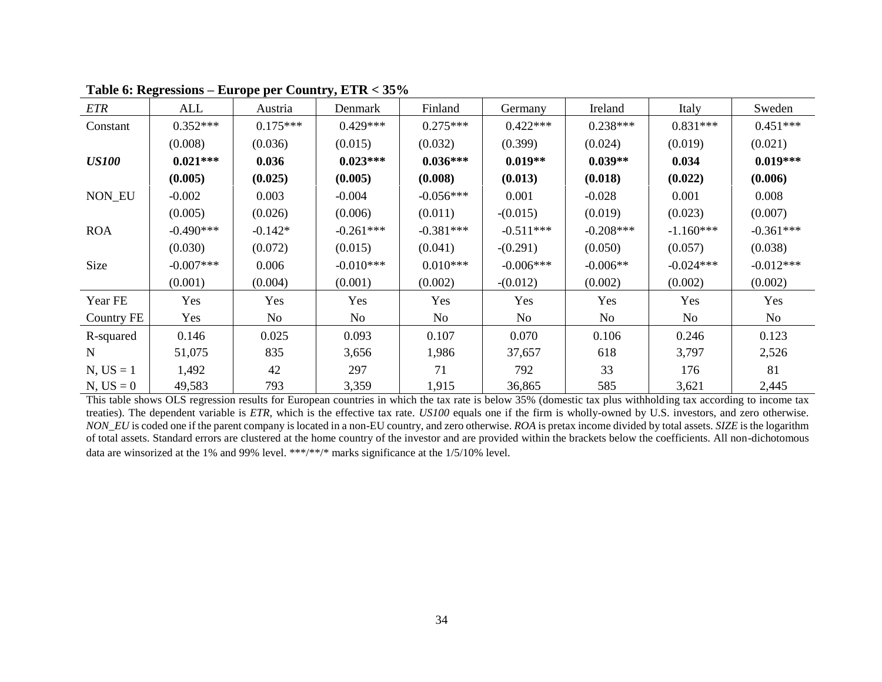| <b>ETR</b>    | ALL         | Austria    | Denmark        | Finland     | Germany        | Ireland     | Italy       | Sweden      |
|---------------|-------------|------------|----------------|-------------|----------------|-------------|-------------|-------------|
| Constant      | $0.352***$  | $0.175***$ | $0.429***$     | $0.275***$  | $0.422***$     | $0.238***$  | $0.831***$  | $0.451***$  |
|               | (0.008)     | (0.036)    | (0.015)        | (0.032)     | (0.399)        | (0.024)     | (0.019)     | (0.021)     |
| <b>US100</b>  | $0.021***$  | 0.036      | $0.023***$     | $0.036***$  | $0.019**$      | $0.039**$   | 0.034       | $0.019***$  |
|               | (0.005)     | (0.025)    | (0.005)        | (0.008)     | (0.013)        | (0.018)     | (0.022)     | (0.006)     |
| <b>NON EU</b> | $-0.002$    | 0.003      | $-0.004$       | $-0.056***$ | 0.001          | $-0.028$    | 0.001       | 0.008       |
|               | (0.005)     | (0.026)    | (0.006)        | (0.011)     | $-(0.015)$     | (0.019)     | (0.023)     | (0.007)     |
| <b>ROA</b>    | $-0.490***$ | $-0.142*$  | $-0.261***$    | $-0.381***$ | $-0.511***$    | $-0.208***$ | $-1.160***$ | $-0.361***$ |
|               | (0.030)     | (0.072)    | (0.015)        | (0.041)     | $-(0.291)$     | (0.050)     | (0.057)     | (0.038)     |
| Size          | $-0.007***$ | 0.006      | $-0.010***$    | $0.010***$  | $-0.006***$    | $-0.006**$  | $-0.024***$ | $-0.012***$ |
|               | (0.001)     | (0.004)    | (0.001)        | (0.002)     | $-(0.012)$     | (0.002)     | (0.002)     | (0.002)     |
| Year FE       | Yes         | Yes        | Yes            | Yes         | Yes            | Yes         | Yes         | Yes         |
| Country FE    | Yes         | No         | N <sub>o</sub> | No          | N <sub>o</sub> | No          | No          | No          |
| R-squared     | 0.146       | 0.025      | 0.093          | 0.107       | 0.070          | 0.106       | 0.246       | 0.123       |
| N             | 51,075      | 835        | 3,656          | 1,986       | 37,657         | 618         | 3,797       | 2,526       |
| $N, US = 1$   | 1,492       | 42         | 297            | 71          | 792            | 33          | 176         | 81          |
| $N, US = 0$   | 49,583      | 793        | 3,359          | 1,915       | 36,865         | 585         | 3,621       | 2,445       |

# **Table 6: Regressions – Europe per Country, ETR < 35%**

This table shows OLS regression results for European countries in which the tax rate is below 35% (domestic tax plus withholding tax according to income tax treaties). The dependent variable is *ETR*, which is the effective tax rate. *US100* equals one if the firm is wholly-owned by U.S. investors, and zero otherwise. *NON\_EU* is coded one if the parent company is located in a non-EU country, and zero otherwise. *ROA* is pretax income divided by total assets. *SIZE* is the logarithm of total assets. Standard errors are clustered at the home country of the investor and are provided within the brackets below the coefficients. All non-dichotomous data are winsorized at the 1% and 99% level. \*\*\*/\*\*/\* marks significance at the 1/5/10% level.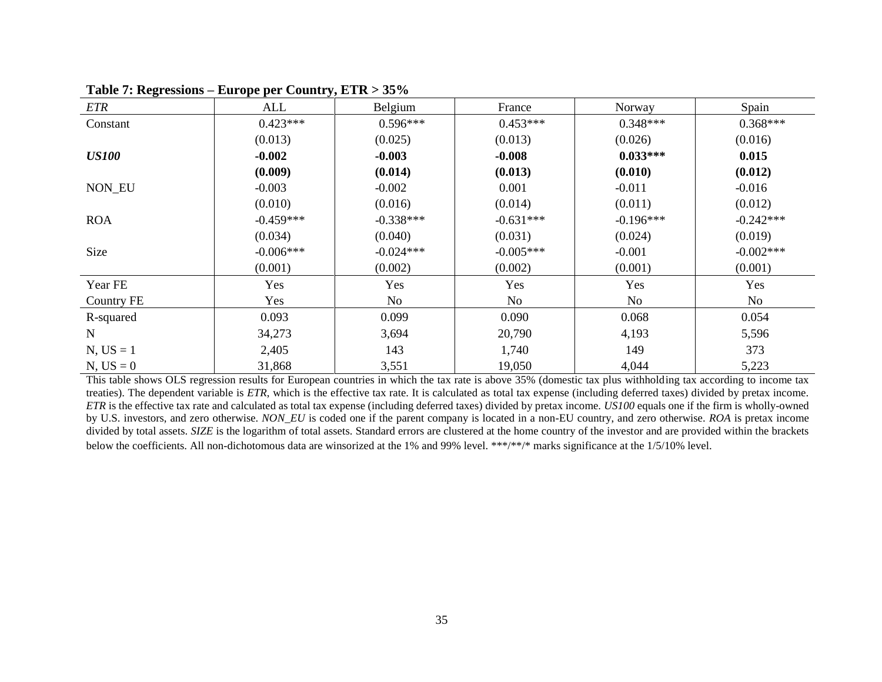| <b>ETR</b>   | ALL         | Belgium     | France      | Norway      | Spain       |
|--------------|-------------|-------------|-------------|-------------|-------------|
| Constant     | $0.423***$  | $0.596***$  | $0.453***$  | $0.348***$  | $0.368***$  |
|              | (0.013)     | (0.025)     | (0.013)     | (0.026)     | (0.016)     |
| <b>US100</b> | $-0.002$    | $-0.003$    | $-0.008$    | $0.033***$  | 0.015       |
|              | (0.009)     | (0.014)     | (0.013)     | (0.010)     | (0.012)     |
| NON_EU       | $-0.003$    | $-0.002$    | 0.001       | $-0.011$    | $-0.016$    |
|              | (0.010)     | (0.016)     | (0.014)     | (0.011)     | (0.012)     |
| <b>ROA</b>   | $-0.459***$ | $-0.338***$ | $-0.631***$ | $-0.196***$ | $-0.242***$ |
|              | (0.034)     | (0.040)     | (0.031)     | (0.024)     | (0.019)     |
| Size         | $-0.006***$ | $-0.024***$ | $-0.005***$ | $-0.001$    | $-0.002***$ |
|              | (0.001)     | (0.002)     | (0.002)     | (0.001)     | (0.001)     |
| Year FE      | Yes         | Yes         | Yes         | Yes         | Yes         |
| Country FE   | Yes         | No          | No          | No          | No          |
| R-squared    | 0.093       | 0.099       | 0.090       | 0.068       | 0.054       |
| $\mathbf N$  | 34,273      | 3,694       | 20,790      | 4,193       | 5,596       |
| $N, US = 1$  | 2,405       | 143         | 1,740       | 149         | 373         |
| $N, US = 0$  | 31,868      | 3,551       | 19,050      | 4,044       | 5,223       |

**Table 7: Regressions – Europe per Country, ETR > 35%**

This table shows OLS regression results for European countries in which the tax rate is above 35% (domestic tax plus withholding tax according to income tax treaties). The dependent variable is *ETR*, which is the effective tax rate. It is calculated as total tax expense (including deferred taxes) divided by pretax income. *ETR* is the effective tax rate and calculated as total tax expense (including deferred taxes) divided by pretax income. *US100* equals one if the firm is wholly-owned by U.S. investors, and zero otherwise. *NON\_EU* is coded one if the parent company is located in a non-EU country, and zero otherwise. *ROA* is pretax income divided by total assets. *SIZE* is the logarithm of total assets. Standard errors are clustered at the home country of the investor and are provided within the brackets below the coefficients. All non-dichotomous data are winsorized at the 1% and 99% level. \*\*\*/\*\*/\* marks significance at the 1/5/10% level.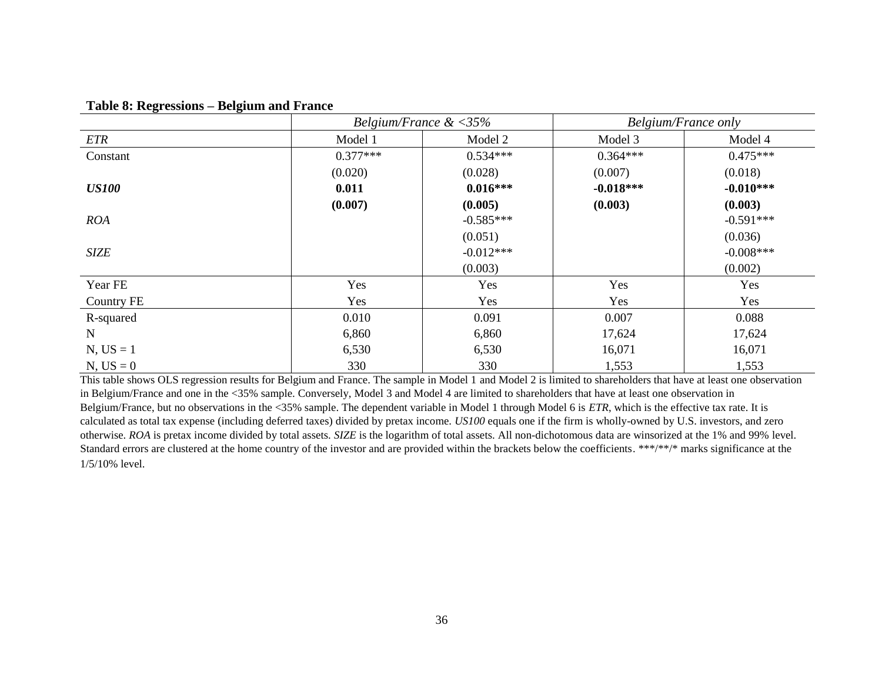|                   |            | Belgium/France $\<35\%$ |             | <b>Belgium/France only</b> |
|-------------------|------------|-------------------------|-------------|----------------------------|
| <b>ETR</b>        | Model 1    | Model 2                 | Model 3     | Model 4                    |
| Constant          | $0.377***$ | $0.534***$              | $0.364***$  | $0.475***$                 |
|                   | (0.020)    | (0.028)                 | (0.007)     | (0.018)                    |
| <b>US100</b>      | 0.011      | $0.016***$              | $-0.018***$ | $-0.010***$                |
|                   | (0.007)    | (0.005)                 | (0.003)     | (0.003)                    |
| <b>ROA</b>        |            | $-0.585***$             |             | $-0.591***$                |
|                   |            | (0.051)                 |             | (0.036)                    |
| <b>SIZE</b>       |            | $-0.012***$             |             | $-0.008***$                |
|                   |            | (0.003)                 |             | (0.002)                    |
| Year FE           | Yes        | Yes                     | Yes         | Yes                        |
| <b>Country FE</b> | Yes        | Yes                     | Yes         | Yes                        |
| R-squared         | 0.010      | 0.091                   | 0.007       | 0.088                      |
| $\mathbf N$       | 6,860      | 6,860                   | 17,624      | 17,624                     |
| $N, US = 1$       | 6,530      | 6,530                   | 16,071      | 16,071                     |
| $N, US = 0$       | 330        | 330                     | 1,553       | 1,553                      |

# **Table 8: Regressions – Belgium and France**

This table shows OLS regression results for Belgium and France. The sample in Model 1 and Model 2 is limited to shareholders that have at least one observation in Belgium/France and one in the <35% sample. Conversely, Model 3 and Model 4 are limited to shareholders that have at least one observation in Belgium/France, but no observations in the <35% sample. The dependent variable in Model 1 through Model 6 is *ETR*, which is the effective tax rate. It is calculated as total tax expense (including deferred taxes) divided by pretax income. *US100* equals one if the firm is wholly-owned by U.S. investors, and zero otherwise. *ROA* is pretax income divided by total assets. *SIZE* is the logarithm of total assets. All non-dichotomous data are winsorized at the 1% and 99% level. Standard errors are clustered at the home country of the investor and are provided within the brackets below the coefficients. \*\*\*/\*\*/\* marks significance at the 1/5/10% level.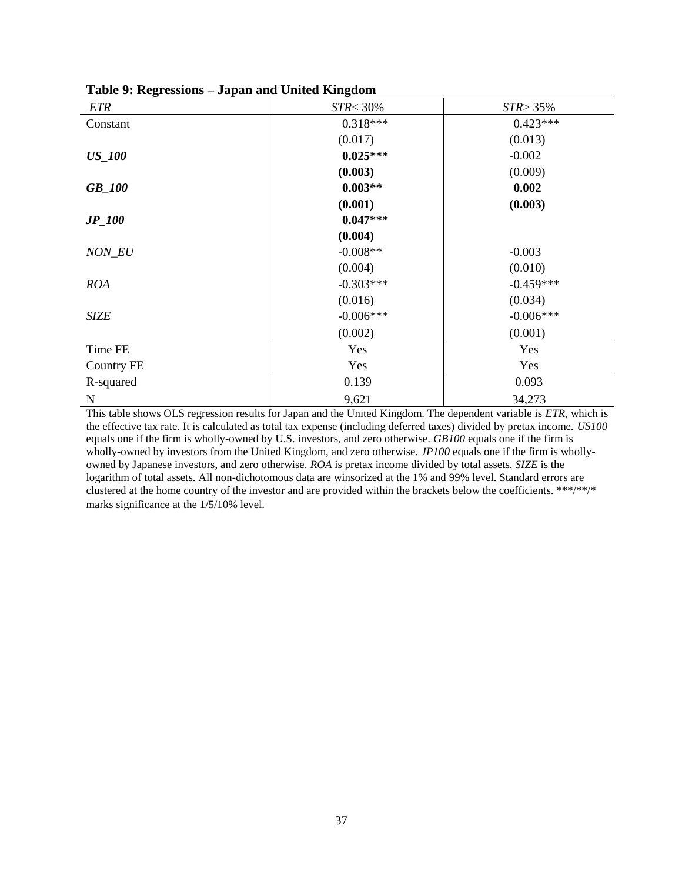|                   | o.                |              |
|-------------------|-------------------|--------------|
| <b>ETR</b>        | <b>STR&lt;30%</b> | $STR > 35\%$ |
| Constant          | $0.318***$        | $0.423***$   |
|                   | (0.017)           | (0.013)      |
| <b>US_100</b>     | $0.025***$        | $-0.002$     |
|                   | (0.003)           | (0.009)      |
| <b>GB_100</b>     | $0.003**$         | 0.002        |
|                   | (0.001)           | (0.003)      |
| $JP_100$          | $0.047***$        |              |
|                   | (0.004)           |              |
| NON_EU            | $-0.008**$        | $-0.003$     |
|                   | (0.004)           | (0.010)      |
| <b>ROA</b>        | $-0.303***$       | $-0.459***$  |
|                   | (0.016)           | (0.034)      |
| <b>SIZE</b>       | $-0.006***$       | $-0.006***$  |
|                   | (0.002)           | (0.001)      |
| Time FE           | Yes               | Yes          |
| <b>Country FE</b> | Yes               | Yes          |
| R-squared         | 0.139             | 0.093        |
| $\mathbf N$       | 9,621             | 34,273       |

**Table 9: Regressions – Japan and United Kingdom**

This table shows OLS regression results for Japan and the United Kingdom. The dependent variable is *ETR*, which is the effective tax rate. It is calculated as total tax expense (including deferred taxes) divided by pretax income. *US100* equals one if the firm is wholly-owned by U.S. investors, and zero otherwise. *GB100* equals one if the firm is wholly-owned by investors from the United Kingdom, and zero otherwise. *JP100* equals one if the firm is whollyowned by Japanese investors, and zero otherwise. *ROA* is pretax income divided by total assets. *SIZE* is the logarithm of total assets. All non-dichotomous data are winsorized at the 1% and 99% level. Standard errors are clustered at the home country of the investor and are provided within the brackets below the coefficients. \*\*\*/\*\*/\* marks significance at the 1/5/10% level.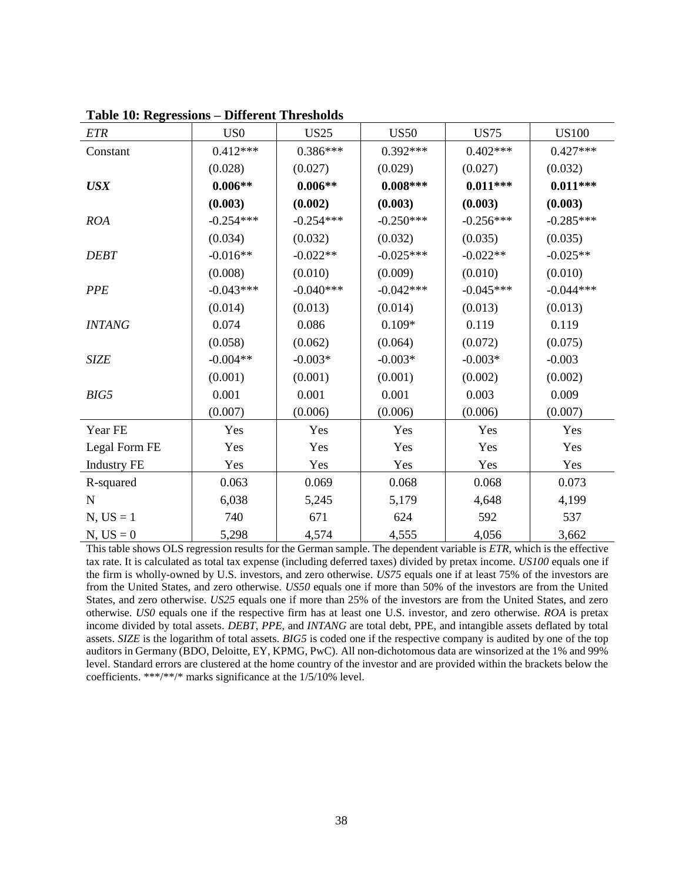| ETR                | US <sub>0</sub> | <b>US25</b> | <b>US50</b> | <b>US75</b> | <b>US100</b> |
|--------------------|-----------------|-------------|-------------|-------------|--------------|
| Constant           | $0.412***$      | $0.386***$  | $0.392***$  | $0.402***$  | $0.427***$   |
|                    | (0.028)         | (0.027)     | (0.029)     | (0.027)     | (0.032)      |
| <b>USX</b>         | $0.006**$       | $0.006**$   | $0.008***$  | $0.011***$  | $0.011***$   |
|                    | (0.003)         | (0.002)     | (0.003)     | (0.003)     | (0.003)      |
| <b>ROA</b>         | $-0.254***$     | $-0.254***$ | $-0.250***$ | $-0.256***$ | $-0.285***$  |
|                    | (0.034)         | (0.032)     | (0.032)     | (0.035)     | (0.035)      |
| <b>DEBT</b>        | $-0.016**$      | $-0.022**$  | $-0.025***$ | $-0.022**$  | $-0.025**$   |
|                    | (0.008)         | (0.010)     | (0.009)     | (0.010)     | (0.010)      |
| <b>PPE</b>         | $-0.043***$     | $-0.040***$ | $-0.042***$ | $-0.045***$ | $-0.044***$  |
|                    | (0.014)         | (0.013)     | (0.014)     | (0.013)     | (0.013)      |
| <b>INTANG</b>      | 0.074           | 0.086       | $0.109*$    | 0.119       | 0.119        |
|                    | (0.058)         | (0.062)     | (0.064)     | (0.072)     | (0.075)      |
| <b>SIZE</b>        | $-0.004**$      | $-0.003*$   | $-0.003*$   | $-0.003*$   | $-0.003$     |
|                    | (0.001)         | (0.001)     | (0.001)     | (0.002)     | (0.002)      |
| BIG5               | 0.001           | 0.001       | 0.001       | 0.003       | 0.009        |
|                    | (0.007)         | (0.006)     | (0.006)     | (0.006)     | (0.007)      |
| Year FE            | Yes             | Yes         | Yes         | Yes         | Yes          |
| Legal Form FE      | Yes             | Yes         | Yes         | Yes         | Yes          |
| <b>Industry FE</b> | Yes             | Yes         | Yes         | Yes         | Yes          |
| R-squared          | 0.063           | 0.069       | 0.068       | 0.068       | 0.073        |
| $\mathbf N$        | 6,038           | 5,245       | 5,179       | 4,648       | 4,199        |
| $N, US = 1$        | 740             | 671         | 624         | 592         | 537          |
| $N, US = 0$        | 5,298           | 4,574       | 4,555       | 4,056       | 3,662        |

**Table 10: Regressions – Different Thresholds**

This table shows OLS regression results for the German sample. The dependent variable is *ETR*, which is the effective tax rate. It is calculated as total tax expense (including deferred taxes) divided by pretax income. *US100* equals one if the firm is wholly-owned by U.S. investors, and zero otherwise. *US75* equals one if at least 75% of the investors are from the United States, and zero otherwise. *US50* equals one if more than 50% of the investors are from the United States, and zero otherwise. *US25* equals one if more than 25% of the investors are from the United States, and zero otherwise. *US0* equals one if the respective firm has at least one U.S. investor, and zero otherwise. *ROA* is pretax income divided by total assets. *DEBT*, *PPE*, and *INTANG* are total debt, PPE, and intangible assets deflated by total assets. *SIZE* is the logarithm of total assets. *BIG5* is coded one if the respective company is audited by one of the top auditors in Germany (BDO, Deloitte, EY, KPMG, PwC). All non-dichotomous data are winsorized at the 1% and 99% level. Standard errors are clustered at the home country of the investor and are provided within the brackets below the coefficients. \*\*\*/\*\*/\* marks significance at the 1/5/10% level.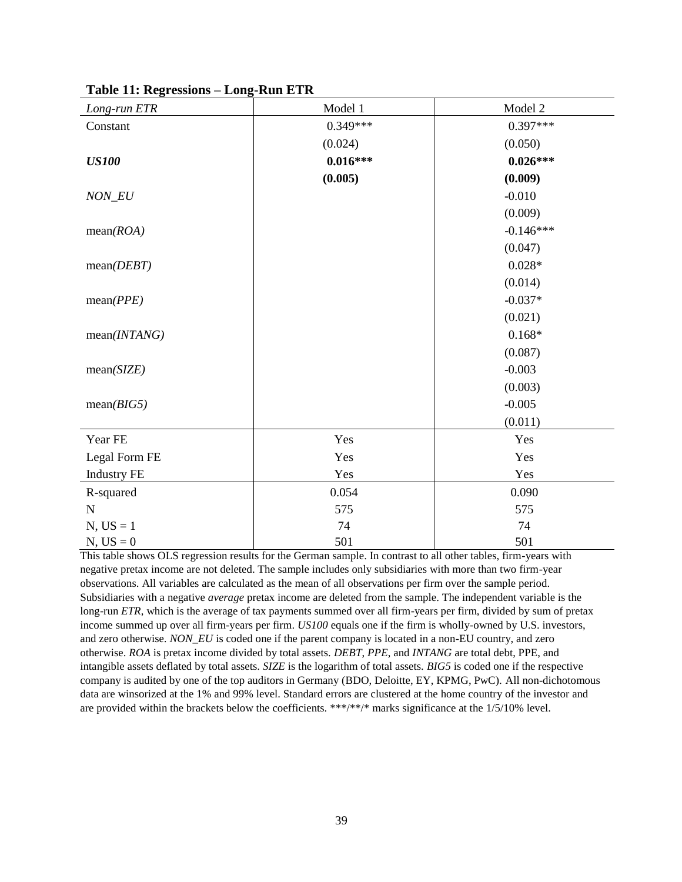| Long-run ETR       | Model 1    | Model 2     |
|--------------------|------------|-------------|
| Constant           | $0.349***$ | $0.397***$  |
|                    | (0.024)    | (0.050)     |
| <b>US100</b>       | $0.016***$ | $0.026***$  |
|                    | (0.005)    | (0.009)     |
| NON_EU             |            | $-0.010$    |
|                    |            | (0.009)     |
| mean(ROA)          |            | $-0.146***$ |
|                    |            | (0.047)     |
| mean(DEBT)         |            | $0.028*$    |
|                    |            | (0.014)     |
| mean(PPE)          |            | $-0.037*$   |
|                    |            | (0.021)     |
| mean(INTANG)       |            | $0.168*$    |
|                    |            | (0.087)     |
| mean(SIZE)         |            | $-0.003$    |
|                    |            | (0.003)     |
| mean(BIG5)         |            | $-0.005$    |
|                    |            | (0.011)     |
| Year FE            | Yes        | Yes         |
| Legal Form FE      | Yes        | Yes         |
| <b>Industry FE</b> | Yes        | Yes         |
| R-squared          | 0.054      | 0.090       |
| $\mathbf N$        | 575        | 575         |
| $N, US = 1$        | 74         | 74          |
| $N, US = 0$        | 501        | 501         |

**Table 11: Regressions – Long-Run ETR**

This table shows OLS regression results for the German sample. In contrast to all other tables, firm-years with negative pretax income are not deleted. The sample includes only subsidiaries with more than two firm-year observations. All variables are calculated as the mean of all observations per firm over the sample period. Subsidiaries with a negative *average* pretax income are deleted from the sample. The independent variable is the long-run *ETR*, which is the average of tax payments summed over all firm-years per firm, divided by sum of pretax income summed up over all firm-years per firm. *US100* equals one if the firm is wholly-owned by U.S. investors, and zero otherwise. *NON EU* is coded one if the parent company is located in a non-EU country, and zero otherwise. *ROA* is pretax income divided by total assets. *DEBT*, *PPE*, and *INTANG* are total debt, PPE, and intangible assets deflated by total assets. *SIZE* is the logarithm of total assets. *BIG5* is coded one if the respective company is audited by one of the top auditors in Germany (BDO, Deloitte, EY, KPMG, PwC). All non-dichotomous data are winsorized at the 1% and 99% level. Standard errors are clustered at the home country of the investor and are provided within the brackets below the coefficients. \*\*\*/\*\*/\* marks significance at the 1/5/10% level.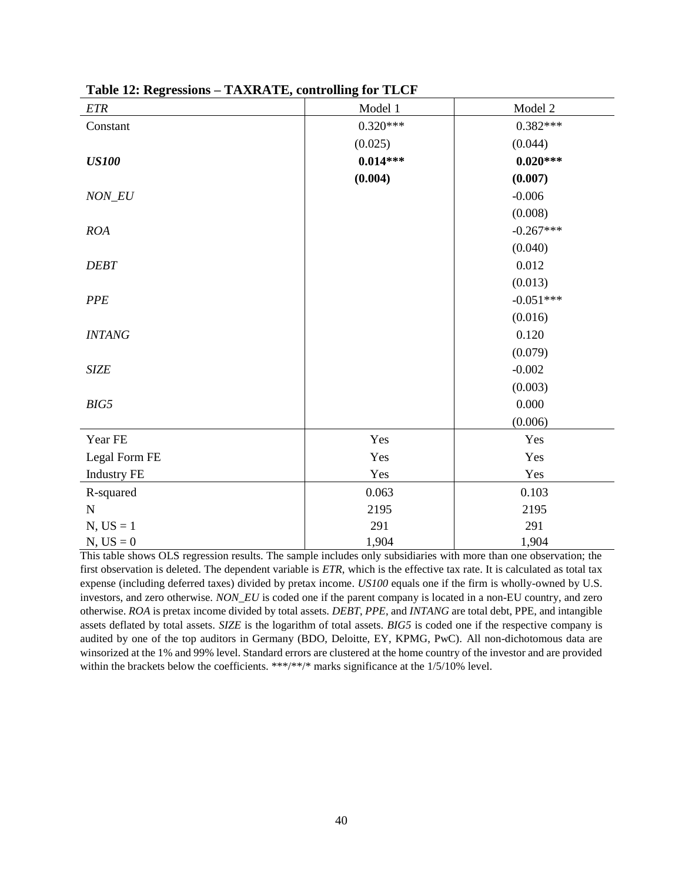| ETR                | Model 1    | Model 2     |
|--------------------|------------|-------------|
| Constant           | $0.320***$ | $0.382***$  |
|                    | (0.025)    | (0.044)     |
| <b>US100</b>       | $0.014***$ | $0.020***$  |
|                    | (0.004)    | (0.007)     |
| $NON\_EU$          |            | $-0.006$    |
|                    |            | (0.008)     |
| ROA                |            | $-0.267***$ |
|                    |            | (0.040)     |
| <b>DEBT</b>        |            | 0.012       |
|                    |            | (0.013)     |
| <b>PPE</b>         |            | $-0.051***$ |
|                    |            | (0.016)     |
| <b>INTANG</b>      |            | 0.120       |
|                    |            | (0.079)     |
| <b>SIZE</b>        |            | $-0.002$    |
|                    |            | (0.003)     |
| BIG5               |            | 0.000       |
|                    |            | (0.006)     |
| Year FE            | Yes        | Yes         |
| Legal Form FE      | Yes        | Yes         |
| <b>Industry FE</b> | Yes        | Yes         |
| R-squared          | 0.063      | 0.103       |
| $\mathbf N$        | 2195       | 2195        |
| $N, US = 1$        | 291        | 291         |
| $N, US = 0$        | 1,904      | 1,904       |

**Table 12: Regressions – TAXRATE, controlling for TLCF**

This table shows OLS regression results. The sample includes only subsidiaries with more than one observation; the first observation is deleted. The dependent variable is *ETR*, which is the effective tax rate. It is calculated as total tax expense (including deferred taxes) divided by pretax income. *US100* equals one if the firm is wholly-owned by U.S. investors, and zero otherwise. *NON\_EU* is coded one if the parent company is located in a non-EU country, and zero otherwise. *ROA* is pretax income divided by total assets. *DEBT*, *PPE*, and *INTANG* are total debt, PPE, and intangible assets deflated by total assets. *SIZE* is the logarithm of total assets. *BIG5* is coded one if the respective company is audited by one of the top auditors in Germany (BDO, Deloitte, EY, KPMG, PwC). All non-dichotomous data are winsorized at the 1% and 99% level. Standard errors are clustered at the home country of the investor and are provided within the brackets below the coefficients. \*\*\*/\*\*/\* marks significance at the 1/5/10% level.